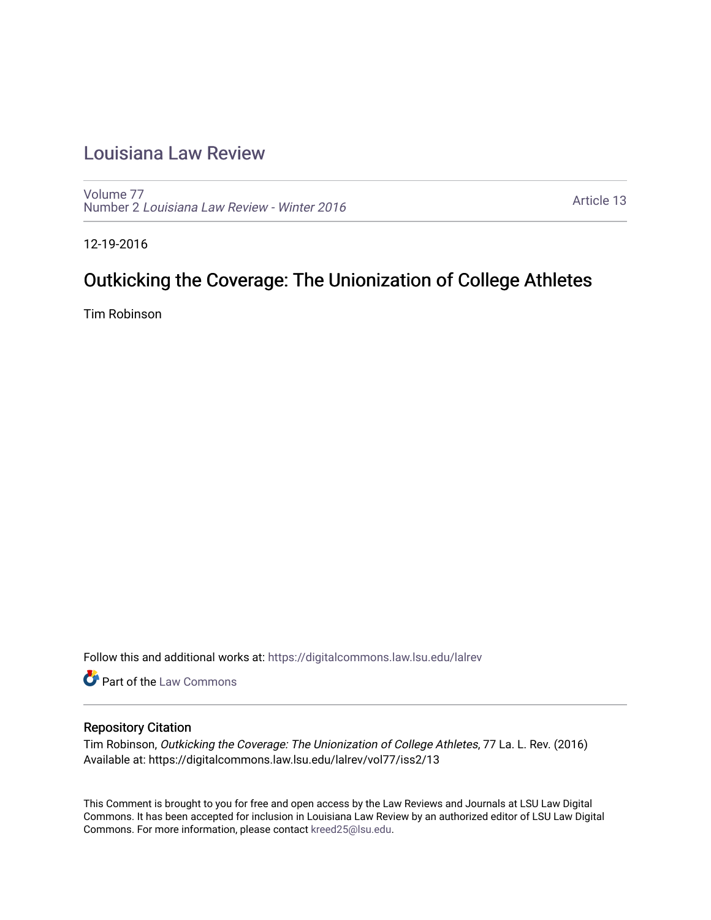# [Louisiana Law Review](https://digitalcommons.law.lsu.edu/lalrev)

[Volume 77](https://digitalcommons.law.lsu.edu/lalrev/vol77) Number 2 [Louisiana Law Review - Winter 2016](https://digitalcommons.law.lsu.edu/lalrev/vol77/iss2) 

[Article 13](https://digitalcommons.law.lsu.edu/lalrev/vol77/iss2/13) 

12-19-2016

# Outkicking the Coverage: The Unionization of College Athletes

Tim Robinson

Follow this and additional works at: [https://digitalcommons.law.lsu.edu/lalrev](https://digitalcommons.law.lsu.edu/lalrev?utm_source=digitalcommons.law.lsu.edu%2Flalrev%2Fvol77%2Fiss2%2F13&utm_medium=PDF&utm_campaign=PDFCoverPages)

**Part of the [Law Commons](http://network.bepress.com/hgg/discipline/578?utm_source=digitalcommons.law.lsu.edu%2Flalrev%2Fvol77%2Fiss2%2F13&utm_medium=PDF&utm_campaign=PDFCoverPages)** 

# Repository Citation

Tim Robinson, Outkicking the Coverage: The Unionization of College Athletes, 77 La. L. Rev. (2016) Available at: https://digitalcommons.law.lsu.edu/lalrev/vol77/iss2/13

This Comment is brought to you for free and open access by the Law Reviews and Journals at LSU Law Digital Commons. It has been accepted for inclusion in Louisiana Law Review by an authorized editor of LSU Law Digital Commons. For more information, please contact [kreed25@lsu.edu](mailto:kreed25@lsu.edu).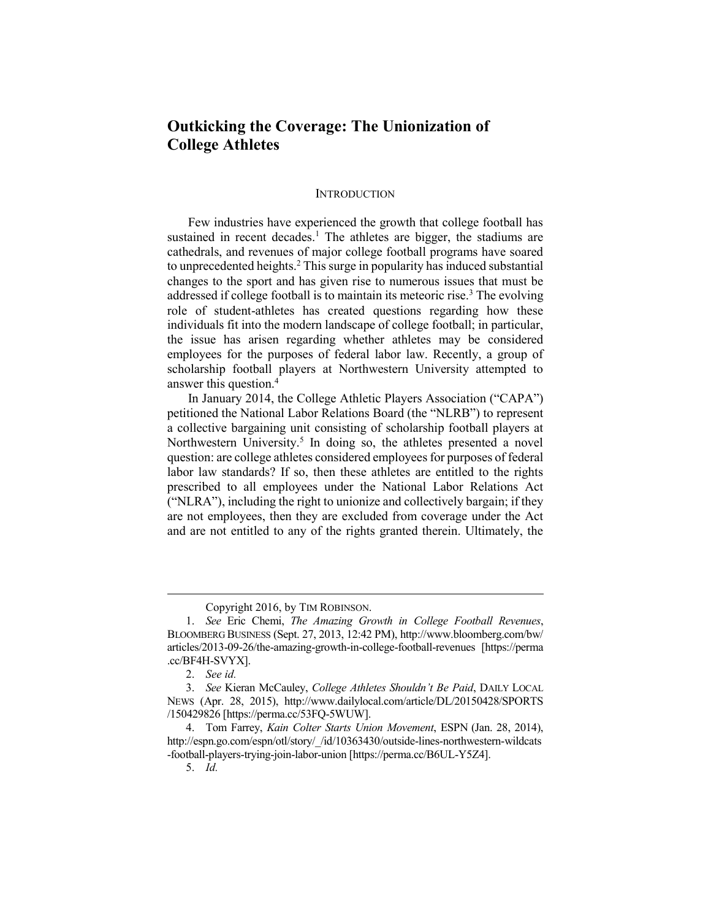# **Outkicking the Coverage: The Unionization of College Athletes**

#### **INTRODUCTION**

Few industries have experienced the growth that college football has sustained in recent decades.<sup>1</sup> The athletes are bigger, the stadiums are cathedrals, and revenues of major college football programs have soared to unprecedented heights.<sup>2</sup> This surge in popularity has induced substantial changes to the sport and has given rise to numerous issues that must be addressed if college football is to maintain its meteoric rise.<sup>3</sup> The evolving role of student-athletes has created questions regarding how these individuals fit into the modern landscape of college football; in particular, the issue has arisen regarding whether athletes may be considered employees for the purposes of federal labor law. Recently, a group of scholarship football players at Northwestern University attempted to answer this question.<sup>4</sup>

In January 2014, the College Athletic Players Association ("CAPA") petitioned the National Labor Relations Board (the "NLRB") to represent a collective bargaining unit consisting of scholarship football players at Northwestern University.<sup>5</sup> In doing so, the athletes presented a novel question: are college athletes considered employees for purposes of federal labor law standards? If so, then these athletes are entitled to the rights prescribed to all employees under the National Labor Relations Act ("NLRA"), including the right to unionize and collectively bargain; if they are not employees, then they are excluded from coverage under the Act and are not entitled to any of the rights granted therein. Ultimately, the

2. *See id.* 

Copyright 2016, by TIM ROBINSON.

<sup>1.</sup> *See* Eric Chemi, *The Amazing Growth in College Football Revenues*, BLOOMBERG BUSINESS (Sept. 27, 2013, 12:42 PM), http://www.bloomberg.com/bw/ articles/2013-09-26/the-amazing-growth-in-college-football-revenues [https://perma .cc/BF4H-SVYX].

<sup>3.</sup> *See* Kieran McCauley, *College Athletes Shouldn't Be Paid*, DAILY LOCAL NEWS (Apr. 28, 2015), http://www.dailylocal.com/article/DL/20150428/SPORTS /150429826 [https://perma.cc/53FQ-5WUW].

<sup>4.</sup> Tom Farrey, *Kain Colter Starts Union Movement*, ESPN (Jan. 28, 2014), http://espn.go.com/espn/otl/story/\_/id/10363430/outside-lines-northwestern-wildcats -football-players-trying-join-labor-union [https://perma.cc/B6UL-Y5Z4].

<sup>5.</sup> *Id.*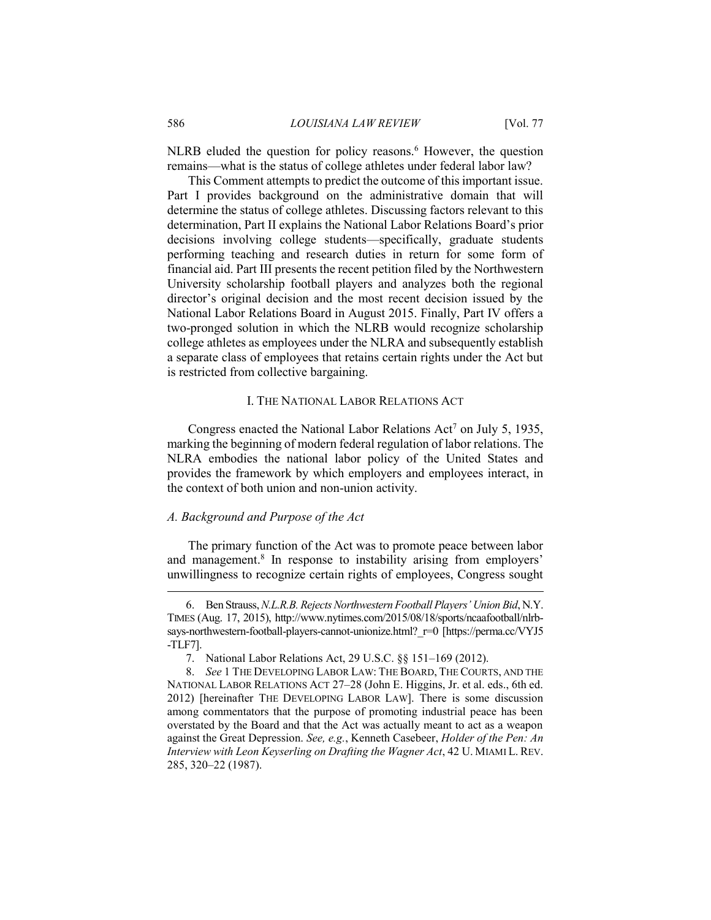$NLRB$  eluded the question for policy reasons.<sup>6</sup> However, the question remains—what is the status of college athletes under federal labor law?

This Comment attempts to predict the outcome of this important issue. Part I provides background on the administrative domain that will determine the status of college athletes. Discussing factors relevant to this determination, Part II explains the National Labor Relations Board's prior decisions involving college students—specifically, graduate students performing teaching and research duties in return for some form of financial aid. Part III presents the recent petition filed by the Northwestern University scholarship football players and analyzes both the regional director's original decision and the most recent decision issued by the National Labor Relations Board in August 2015. Finally, Part IV offers a two-pronged solution in which the NLRB would recognize scholarship college athletes as employees under the NLRA and subsequently establish a separate class of employees that retains certain rights under the Act but is restricted from collective bargaining.

## I. THE NATIONAL LABOR RELATIONS ACT

Congress enacted the National Labor Relations  $Act^7$  on July 5, 1935, marking the beginning of modern federal regulation of labor relations. The NLRA embodies the national labor policy of the United States and provides the framework by which employers and employees interact, in the context of both union and non-union activity.

#### *A. Background and Purpose of the Act*

The primary function of the Act was to promote peace between labor and management.<sup>8</sup> In response to instability arising from employers' unwillingness to recognize certain rights of employees, Congress sought

<sup>6.</sup> Ben Strauss, *N.L.R.B. Rejects Northwestern Football Players' Union Bid*, N.Y. TIMES (Aug. 17, 2015), http://www.nytimes.com/2015/08/18/sports/ncaafootball/nlrbsays-northwestern-football-players-cannot-unionize.html? r=0 [https://perma.cc/VYJ5 -TLF7].

<sup>7.</sup> National Labor Relations Act, 29 U.S.C. §§ 151–169 (2012).

<sup>8.</sup> *See* 1 THE DEVELOPING LABOR LAW: THE BOARD, THE COURTS, AND THE NATIONAL LABOR RELATIONS ACT 27–28 (John E. Higgins, Jr. et al. eds., 6th ed. 2012) [hereinafter THE DEVELOPING LABOR LAW]. There is some discussion among commentators that the purpose of promoting industrial peace has been overstated by the Board and that the Act was actually meant to act as a weapon against the Great Depression. *See, e.g.*, Kenneth Casebeer, *Holder of the Pen: An Interview with Leon Keyserling on Drafting the Wagner Act*, 42 U. MIAMI L. REV. 285, 320–22 (1987).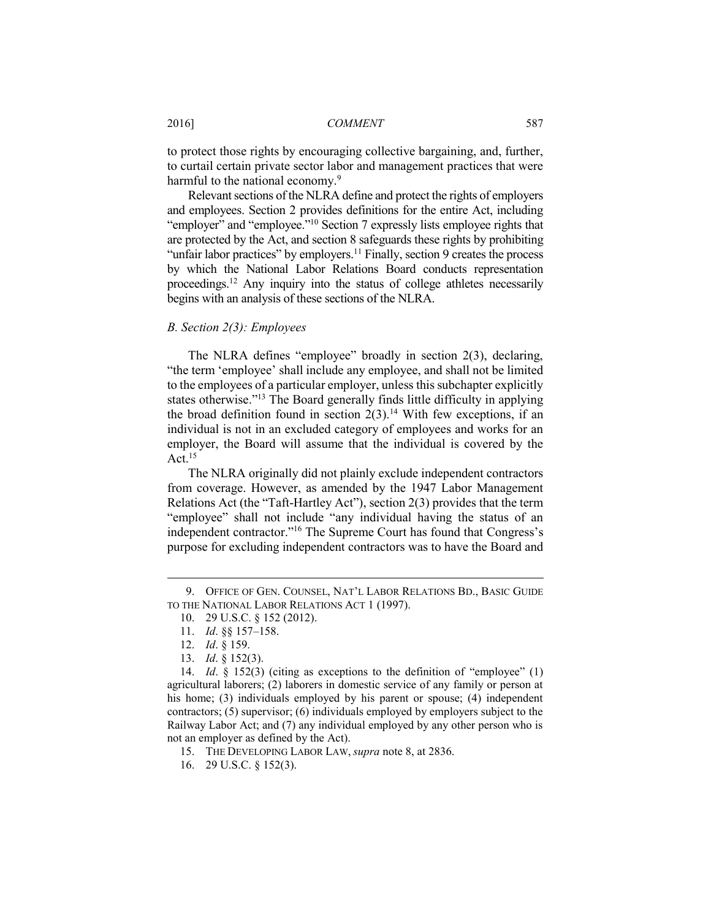to protect those rights by encouraging collective bargaining, and, further, to curtail certain private sector labor and management practices that were harmful to the national economy.<sup>9</sup>

Relevant sections of the NLRA define and protect the rights of employers and employees. Section 2 provides definitions for the entire Act, including "employer" and "employee."<sup>10</sup> Section 7 expressly lists employee rights that are protected by the Act, and section 8 safeguards these rights by prohibiting "unfair labor practices" by employers.<sup>11</sup> Finally, section 9 creates the process by which the National Labor Relations Board conducts representation proceedings.<sup>12</sup> Any inquiry into the status of college athletes necessarily begins with an analysis of these sections of the NLRA.

## *B. Section 2(3): Employees*

The NLRA defines "employee" broadly in section 2(3), declaring, "the term 'employee' shall include any employee, and shall not be limited to the employees of a particular employer, unless this subchapter explicitly states otherwise."<sup>13</sup> The Board generally finds little difficulty in applying the broad definition found in section  $2(3)$ .<sup>14</sup> With few exceptions, if an individual is not in an excluded category of employees and works for an employer, the Board will assume that the individual is covered by the Act. $15$ 

The NLRA originally did not plainly exclude independent contractors from coverage. However, as amended by the 1947 Labor Management Relations Act (the "Taft-Hartley Act"), section 2(3) provides that the term "employee" shall not include "any individual having the status of an independent contractor."<sup>16</sup> The Supreme Court has found that Congress's purpose for excluding independent contractors was to have the Board and

- 15. THE DEVELOPING LABOR LAW, *supra* note 8, at 2836.
- 16. 29 U.S.C. § 152(3).

<sup>9.</sup> OFFICE OF GEN. COUNSEL, NAT'L LABOR RELATIONS BD., BASIC GUIDE TO THE NATIONAL LABOR RELATIONS ACT 1 (1997).

<sup>10.</sup> 29 U.S.C. § 152 (2012).

<sup>11.</sup> *Id*. §§ 157–158.

<sup>12.</sup> *Id*. § 159.

<sup>13.</sup> *Id*. § 152(3).

<sup>14.</sup> *Id*. § 152(3) (citing as exceptions to the definition of "employee" (1) agricultural laborers; (2) laborers in domestic service of any family or person at his home; (3) individuals employed by his parent or spouse; (4) independent contractors; (5) supervisor; (6) individuals employed by employers subject to the Railway Labor Act; and (7) any individual employed by any other person who is not an employer as defined by the Act).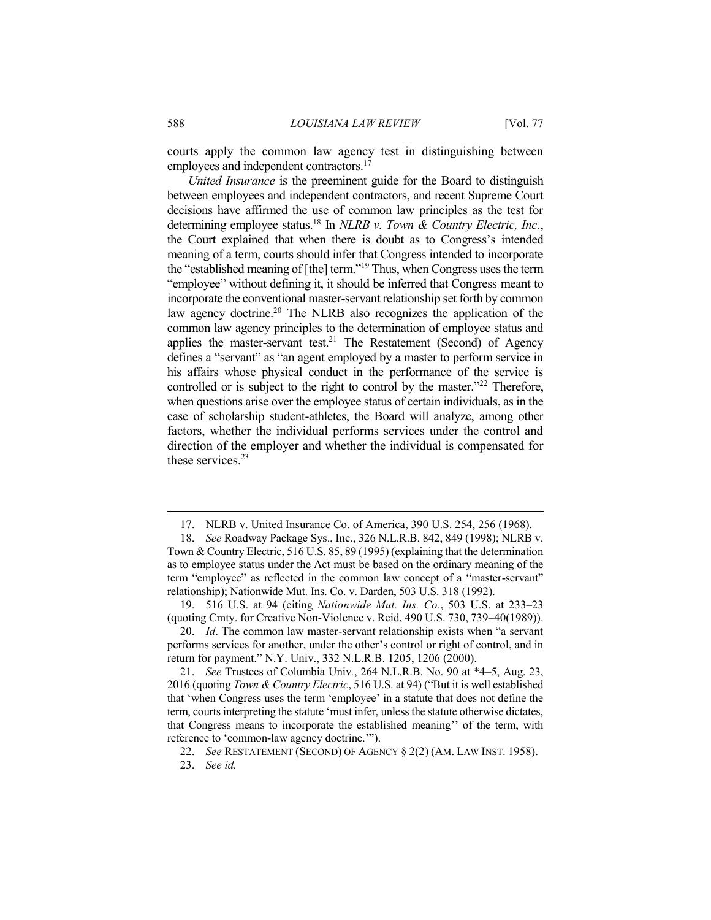courts apply the common law agency test in distinguishing between employees and independent contractors.<sup>17</sup>

*United Insurance* is the preeminent guide for the Board to distinguish between employees and independent contractors, and recent Supreme Court decisions have affirmed the use of common law principles as the test for determining employee status.<sup>18</sup> In *NLRB v. Town & Country Electric, Inc.*, the Court explained that when there is doubt as to Congress's intended meaning of a term, courts should infer that Congress intended to incorporate the "established meaning of [the] term."<sup>19</sup> Thus, when Congress uses the term "employee" without defining it, it should be inferred that Congress meant to incorporate the conventional master-servant relationship set forth by common law agency doctrine.<sup>20</sup> The NLRB also recognizes the application of the common law agency principles to the determination of employee status and applies the master-servant test.<sup>21</sup> The Restatement (Second) of Agency defines a "servant" as "an agent employed by a master to perform service in his affairs whose physical conduct in the performance of the service is controlled or is subject to the right to control by the master."<sup>22</sup> Therefore, when questions arise over the employee status of certain individuals, as in the case of scholarship student-athletes, the Board will analyze, among other factors, whether the individual performs services under the control and direction of the employer and whether the individual is compensated for these services  $23$ 

<sup>17.</sup> NLRB v. United Insurance Co. of America, 390 U.S. 254, 256 (1968).

<sup>18.</sup> *See* Roadway Package Sys., Inc., 326 N.L.R.B. 842, 849 (1998); NLRB v. Town & Country Electric, 516 U.S. 85, 89 (1995) (explaining that the determination as to employee status under the Act must be based on the ordinary meaning of the term "employee" as reflected in the common law concept of a "master-servant" relationship); Nationwide Mut. Ins. Co. v. Darden, 503 U.S. 318 (1992).

<sup>19.</sup> 516 U.S. at 94 (citing *Nationwide Mut. Ins. Co.*, 503 U.S. at 233–23 (quoting Cmty. for Creative Non-Violence v. Reid, 490 U.S. 730, 739–40(1989)).

<sup>20.</sup> *Id*. The common law master-servant relationship exists when "a servant performs services for another, under the other's control or right of control, and in return for payment." N.Y. Univ., 332 N.L.R.B. 1205, 1206 (2000).

<sup>21.</sup> *See* Trustees of Columbia Univ*.*, 264 N.L.R.B. No. 90 at \*4–5, Aug. 23, 2016 (quoting *Town & Country Electric*, 516 U.S. at 94) ("But it is well established that 'when Congress uses the term 'employee' in a statute that does not define the term, courts interpreting the statute 'must infer, unless the statute otherwise dictates, that Congress means to incorporate the established meaning'' of the term, with reference to 'common-law agency doctrine.'").

<sup>22.</sup> *See* RESTATEMENT (SECOND) OF AGENCY § 2(2) (AM. LAW INST. 1958).

<sup>23.</sup> *See id.*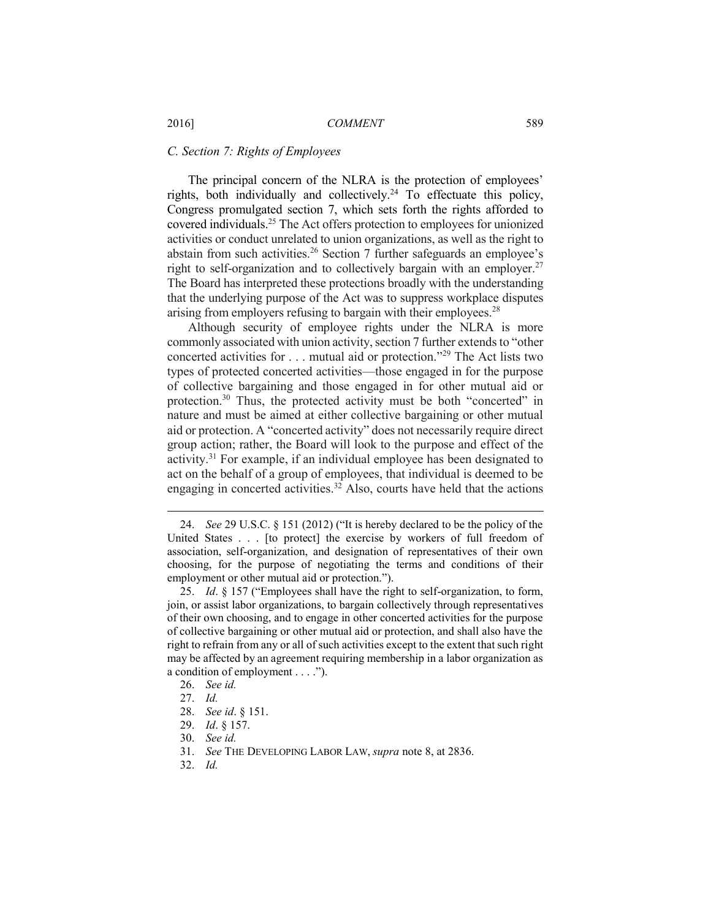## *C. Section 7: Rights of Employees*

The principal concern of the NLRA is the protection of employees' rights, both individually and collectively.<sup>24</sup> To effectuate this policy, Congress promulgated section 7, which sets forth the rights afforded to covered individuals.<sup>25</sup> The Act offers protection to employees for unionized activities or conduct unrelated to union organizations, as well as the right to abstain from such activities.<sup>26</sup> Section 7 further safeguards an employee's right to self-organization and to collectively bargain with an employer.<sup>27</sup> The Board has interpreted these protections broadly with the understanding that the underlying purpose of the Act was to suppress workplace disputes arising from employers refusing to bargain with their employees.<sup>28</sup>

Although security of employee rights under the NLRA is more commonly associated with union activity, section 7 further extends to "other concerted activities for . . . mutual aid or protection."<sup>29</sup> The Act lists two types of protected concerted activities—those engaged in for the purpose of collective bargaining and those engaged in for other mutual aid or protection.<sup>30</sup> Thus, the protected activity must be both "concerted" in nature and must be aimed at either collective bargaining or other mutual aid or protection. A "concerted activity" does not necessarily require direct group action; rather, the Board will look to the purpose and effect of the activity.<sup>31</sup> For example, if an individual employee has been designated to act on the behalf of a group of employees, that individual is deemed to be engaging in concerted activities.<sup>32</sup> Also, courts have held that the actions

 $\overline{a}$ 

30. *See id.*

32. *Id.*

<sup>24.</sup> *See* 29 U.S.C. § 151 (2012) ("It is hereby declared to be the policy of the United States . . . [to protect] the exercise by workers of full freedom of association, self-organization, and designation of representatives of their own choosing, for the purpose of negotiating the terms and conditions of their employment or other mutual aid or protection.").

<sup>25.</sup> *Id*. § 157 ("Employees shall have the right to self-organization, to form, join, or assist labor organizations, to bargain collectively through representatives of their own choosing, and to engage in other concerted activities for the purpose of collective bargaining or other mutual aid or protection, and shall also have the right to refrain from any or all of such activities except to the extent that such right may be affected by an agreement requiring membership in a labor organization as a condition of employment . . . .").

<sup>26.</sup> *See id.* 

<sup>27.</sup> *Id.*

<sup>28.</sup> *See id*. § 151.

<sup>29.</sup> *Id*. § 157.

<sup>31.</sup> *See* THE DEVELOPING LABOR LAW, *supra* note 8, at 2836.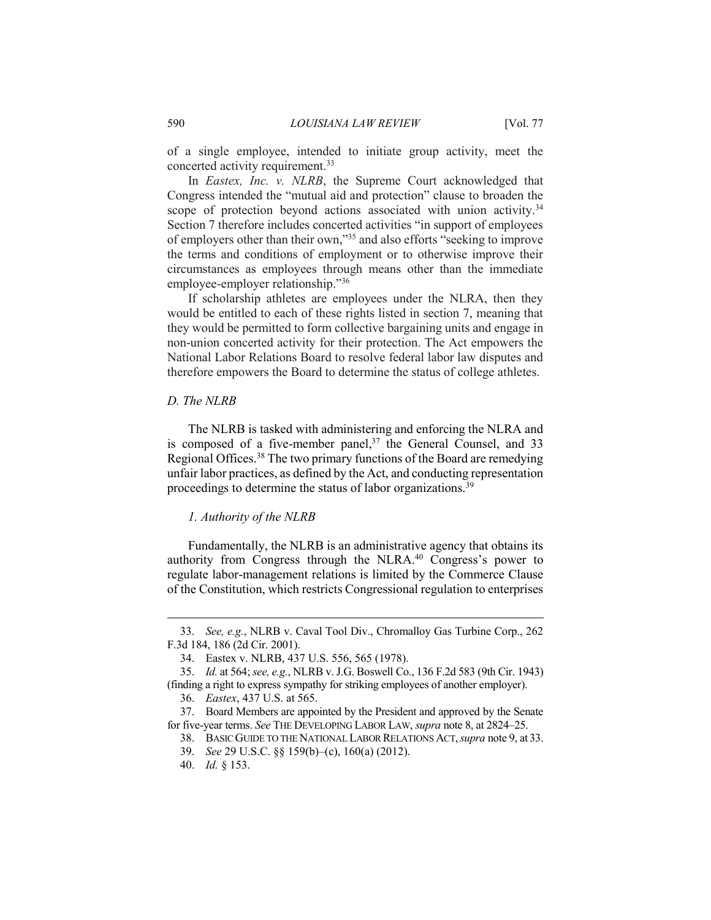of a single employee, intended to initiate group activity, meet the concerted activity requirement.<sup>33</sup>

In *Eastex, Inc. v. NLRB*, the Supreme Court acknowledged that Congress intended the "mutual aid and protection" clause to broaden the scope of protection beyond actions associated with union activity.<sup>34</sup> Section 7 therefore includes concerted activities "in support of employees of employers other than their own,"<sup>35</sup> and also efforts "seeking to improve the terms and conditions of employment or to otherwise improve their circumstances as employees through means other than the immediate employee-employer relationship."<sup>36</sup>

If scholarship athletes are employees under the NLRA, then they would be entitled to each of these rights listed in section 7, meaning that they would be permitted to form collective bargaining units and engage in non-union concerted activity for their protection. The Act empowers the National Labor Relations Board to resolve federal labor law disputes and therefore empowers the Board to determine the status of college athletes.

#### *D. The NLRB*

The NLRB is tasked with administering and enforcing the NLRA and is composed of a five-member panel, $37$  the General Counsel, and 33 Regional Offices.<sup>38</sup> The two primary functions of the Board are remedying unfair labor practices, as defined by the Act, and conducting representation proceedings to determine the status of labor organizations.<sup>39</sup>

#### *1. Authority of the NLRB*

Fundamentally, the NLRB is an administrative agency that obtains its authority from Congress through the NLRA.<sup>40</sup> Congress's power to regulate labor-management relations is limited by the Commerce Clause of the Constitution, which restricts Congressional regulation to enterprises

<sup>33.</sup> *See, e.g.*, NLRB v. Caval Tool Div., Chromalloy Gas Turbine Corp., 262 F.3d 184, 186 (2d Cir. 2001).

<sup>34.</sup> Eastex v. NLRB, 437 U.S. 556, 565 (1978).

<sup>35.</sup> *Id.* at 564; *see, e.g.*, NLRB v. J.G. Boswell Co., 136 F.2d 583 (9th Cir. 1943) (finding a right to express sympathy for striking employees of another employer). 36. *Eastex*, 437 U.S. at 565.

<sup>37.</sup> Board Members are appointed by the President and approved by the Senate

for five-year terms. *See* THE DEVELOPING LABOR LAW, *supra* note 8, at 2824–25.

<sup>38.</sup> BASIC GUIDE TO THE NATIONAL LABOR RELATIONS ACT,*supra* note 9, at 33.

<sup>39.</sup> *See* 29 U.S.C. §§ 159(b)–(c), 160(a) (2012).

<sup>40.</sup> *Id.* § 153.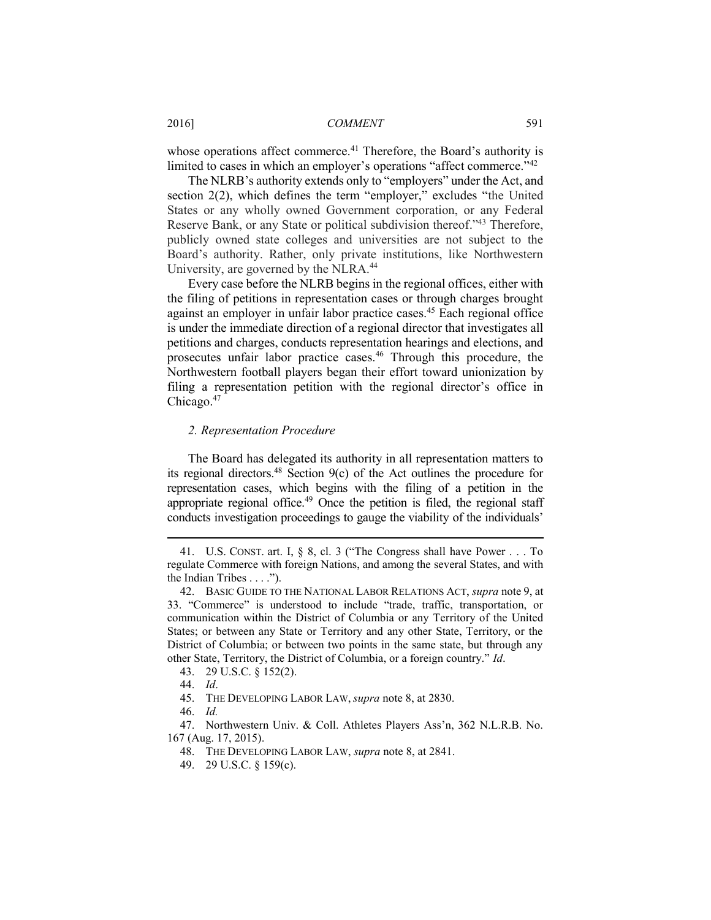whose operations affect commerce.<sup>41</sup> Therefore, the Board's authority is limited to cases in which an employer's operations "affect commerce."<sup>42</sup>

The NLRB's authority extends only to "employers" under the Act, and section 2(2), which defines the term "employer," excludes "the United States or any wholly owned Government corporation, or any Federal Reserve Bank, or any State or political subdivision thereof."<sup>43</sup> Therefore, publicly owned state colleges and universities are not subject to the Board's authority. Rather, only private institutions, like Northwestern University, are governed by the NLRA.<sup>44</sup>

Every case before the NLRB begins in the regional offices, either with the filing of petitions in representation cases or through charges brought against an employer in unfair labor practice cases.<sup>45</sup> Each regional office is under the immediate direction of a regional director that investigates all petitions and charges, conducts representation hearings and elections, and prosecutes unfair labor practice cases.<sup>46</sup> Through this procedure, the Northwestern football players began their effort toward unionization by filing a representation petition with the regional director's office in Chicago.<sup>47</sup>

# *2. Representation Procedure*

The Board has delegated its authority in all representation matters to its regional directors.<sup>48</sup> Section  $9(c)$  of the Act outlines the procedure for representation cases, which begins with the filing of a petition in the appropriate regional office.<sup>49</sup> Once the petition is filed, the regional staff conducts investigation proceedings to gauge the viability of the individuals'

<sup>41.</sup> U.S. CONST. art. I, § 8, cl. 3 ("The Congress shall have Power . . . To regulate Commerce with foreign Nations, and among the several States, and with the Indian Tribes  $\dots$ .").

<sup>42.</sup> BASIC GUIDE TO THE NATIONAL LABOR RELATIONS ACT, *supra* note 9, at 33. "Commerce" is understood to include "trade, traffic, transportation, or communication within the District of Columbia or any Territory of the United States; or between any State or Territory and any other State, Territory, or the District of Columbia; or between two points in the same state, but through any other State, Territory, the District of Columbia, or a foreign country." *Id*.

<sup>43.</sup> 29 U.S.C. § 152(2).

<sup>44.</sup> *Id*.

<sup>45.</sup> THE DEVELOPING LABOR LAW, *supra* note 8, at 2830.

<sup>46.</sup> *Id.*

<sup>47.</sup> Northwestern Univ. & Coll. Athletes Players Ass'n, 362 N.L.R.B. No. 167 (Aug. 17, 2015).

<sup>48.</sup> THE DEVELOPING LABOR LAW, *supra* note 8, at 2841.

<sup>49.</sup> 29 U.S.C. § 159(c).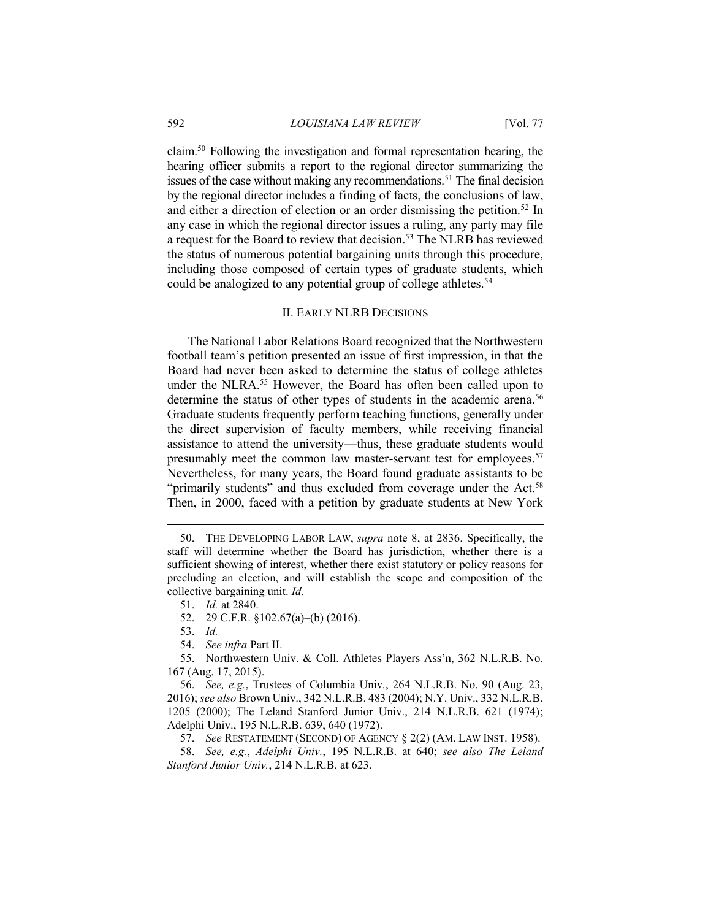claim.<sup>50</sup> Following the investigation and formal representation hearing, the hearing officer submits a report to the regional director summarizing the issues of the case without making any recommendations.<sup>51</sup> The final decision by the regional director includes a finding of facts, the conclusions of law, and either a direction of election or an order dismissing the petition.<sup>52</sup> In any case in which the regional director issues a ruling, any party may file a request for the Board to review that decision.<sup>53</sup> The NLRB has reviewed the status of numerous potential bargaining units through this procedure, including those composed of certain types of graduate students, which could be analogized to any potential group of college athletes.<sup>54</sup>

# II. EARLY NLRB DECISIONS

The National Labor Relations Board recognized that the Northwestern football team's petition presented an issue of first impression, in that the Board had never been asked to determine the status of college athletes under the NLRA.<sup>55</sup> However, the Board has often been called upon to determine the status of other types of students in the academic arena.<sup>56</sup> Graduate students frequently perform teaching functions, generally under the direct supervision of faculty members, while receiving financial assistance to attend the university—thus, these graduate students would presumably meet the common law master-servant test for employees.<sup>57</sup> Nevertheless, for many years, the Board found graduate assistants to be "primarily students" and thus excluded from coverage under the Act.<sup>58</sup> Then, in 2000, faced with a petition by graduate students at New York

- 52. 29 C.F.R. §102.67(a)–(b) (2016).
- 53. *Id.*

 $\overline{a}$ 

54. *See infra* Part II.

55. Northwestern Univ. & Coll. Athletes Players Ass'n, 362 N.L.R.B. No. 167 (Aug. 17, 2015).

56. *See, e.g.*, Trustees of Columbia Univ*.*, 264 N.L.R.B. No. 90 (Aug. 23, 2016); *see also* Brown Univ., 342 N.L.R.B. 483 (2004); N.Y. Univ., 332 N.L.R.B. 1205 (2000); The Leland Stanford Junior Univ., 214 N.L.R.B. 621 (1974); Adelphi Univ., 195 N.L.R.B. 639, 640 (1972).

57. *See* RESTATEMENT (SECOND) OF AGENCY § 2(2) (AM. LAW INST. 1958).

58. *See, e.g.*, *Adelphi Univ.*, 195 N.L.R.B. at 640; *see also The Leland Stanford Junior Univ.*, 214 N.L.R.B. at 623.

<sup>50.</sup> THE DEVELOPING LABOR LAW, *supra* note 8, at 2836. Specifically, the staff will determine whether the Board has jurisdiction, whether there is a sufficient showing of interest, whether there exist statutory or policy reasons for precluding an election, and will establish the scope and composition of the collective bargaining unit. *Id.*

<sup>51.</sup> *Id.* at 2840.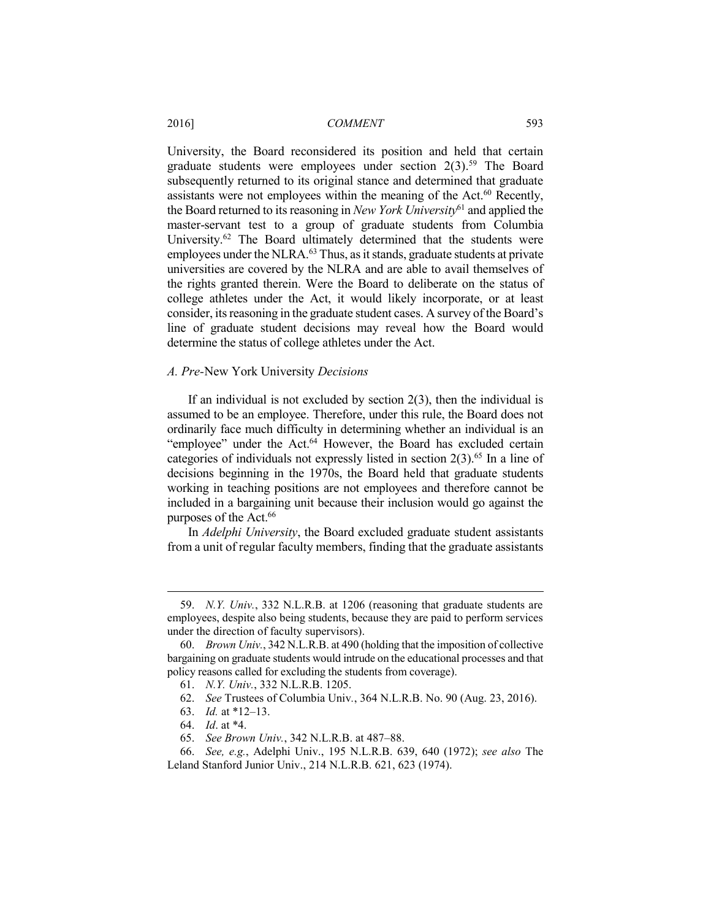University, the Board reconsidered its position and held that certain graduate students were employees under section  $2(3)$ <sup>59</sup>. The Board subsequently returned to its original stance and determined that graduate assistants were not employees within the meaning of the Act. $60$  Recently, the Board returned to its reasoning in *New York University*<sup>61</sup> and applied the master-servant test to a group of graduate students from Columbia University.<sup>62</sup> The Board ultimately determined that the students were employees under the NLRA.<sup>63</sup> Thus, as it stands, graduate students at private universities are covered by the NLRA and are able to avail themselves of the rights granted therein. Were the Board to deliberate on the status of college athletes under the Act, it would likely incorporate, or at least consider, its reasoning in the graduate student cases. A survey of the Board's line of graduate student decisions may reveal how the Board would determine the status of college athletes under the Act.

#### *A. Pre-*New York University *Decisions*

If an individual is not excluded by section  $2(3)$ , then the individual is assumed to be an employee. Therefore, under this rule, the Board does not ordinarily face much difficulty in determining whether an individual is an "employee" under the Act.<sup>64</sup> However, the Board has excluded certain categories of individuals not expressly listed in section  $2(3)$ .<sup>65</sup> In a line of decisions beginning in the 1970s, the Board held that graduate students working in teaching positions are not employees and therefore cannot be included in a bargaining unit because their inclusion would go against the purposes of the Act.<sup>66</sup>

In *Adelphi University*, the Board excluded graduate student assistants from a unit of regular faculty members, finding that the graduate assistants

- 61. *N.Y. Univ.*, 332 N.L.R.B. 1205.
- 62. *See* Trustees of Columbia Univ*.*, 364 N.L.R.B. No. 90 (Aug. 23, 2016).
- 63. *Id.* at \*12–13.
- 64. *Id*. at \*4.

- 65. *See Brown Univ.*, 342 N.L.R.B. at 487–88.
- 66. *See, e.g.*, Adelphi Univ., 195 N.L.R.B. 639, 640 (1972); *see also* The Leland Stanford Junior Univ., 214 N.L.R.B. 621, 623 (1974).

<sup>59.</sup> *N.Y. Univ.*, 332 N.L.R.B. at 1206 (reasoning that graduate students are employees, despite also being students, because they are paid to perform services under the direction of faculty supervisors).

<sup>60.</sup> *Brown Univ.*, 342 N.L.R.B. at 490 (holding that the imposition of collective bargaining on graduate students would intrude on the educational processes and that policy reasons called for excluding the students from coverage).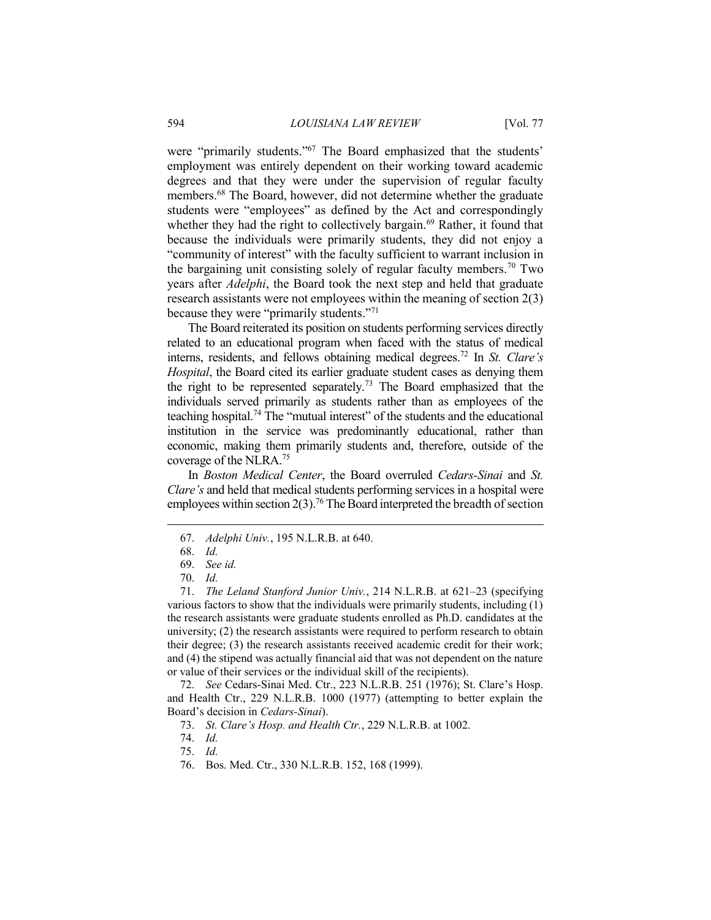were "primarily students."<sup>67</sup> The Board emphasized that the students' employment was entirely dependent on their working toward academic degrees and that they were under the supervision of regular faculty members.<sup>68</sup> The Board, however, did not determine whether the graduate students were "employees" as defined by the Act and correspondingly whether they had the right to collectively bargain.<sup>69</sup> Rather, it found that because the individuals were primarily students, they did not enjoy a "community of interest" with the faculty sufficient to warrant inclusion in the bargaining unit consisting solely of regular faculty members.<sup>70</sup> Two years after *Adelphi*, the Board took the next step and held that graduate research assistants were not employees within the meaning of section 2(3) because they were "primarily students."<sup>71</sup>

The Board reiterated its position on students performing services directly related to an educational program when faced with the status of medical interns, residents, and fellows obtaining medical degrees.<sup>72</sup> In *St. Clare's Hospital*, the Board cited its earlier graduate student cases as denying them the right to be represented separately.<sup>73</sup> The Board emphasized that the individuals served primarily as students rather than as employees of the teaching hospital.<sup>74</sup> The "mutual interest" of the students and the educational institution in the service was predominantly educational, rather than economic, making them primarily students and, therefore, outside of the coverage of the NLRA.<sup>75</sup>

In *Boston Medical Center*, the Board overruled *Cedars-Sinai* and *St. Clare's* and held that medical students performing services in a hospital were employees within section  $2(3)$ .<sup>76</sup> The Board interpreted the breadth of section

 $\overline{a}$ 

71. *The Leland Stanford Junior Univ.*, 214 N.L.R.B. at 621–23 (specifying various factors to show that the individuals were primarily students, including (1) the research assistants were graduate students enrolled as Ph.D. candidates at the university; (2) the research assistants were required to perform research to obtain their degree; (3) the research assistants received academic credit for their work; and (4) the stipend was actually financial aid that was not dependent on the nature or value of their services or the individual skill of the recipients).

72. *See* Cedars-Sinai Med. Ctr., 223 N.L.R.B. 251 (1976); St. Clare's Hosp. and Health Ctr., 229 N.L.R.B. 1000 (1977) (attempting to better explain the Board's decision in *Cedars-Sinai*).

<sup>67.</sup> *Adelphi Univ.*, 195 N.L.R.B. at 640.

<sup>68.</sup> *Id.* 

<sup>69.</sup> *See id.* 

<sup>70.</sup> *Id.* 

<sup>73.</sup> *St. Clare's Hosp. and Health Ctr.*, 229 N.L.R.B. at 1002.

<sup>74.</sup> *Id.* 

<sup>75.</sup> *Id.* 

<sup>76.</sup> Bos. Med. Ctr., 330 N.L.R.B. 152, 168 (1999).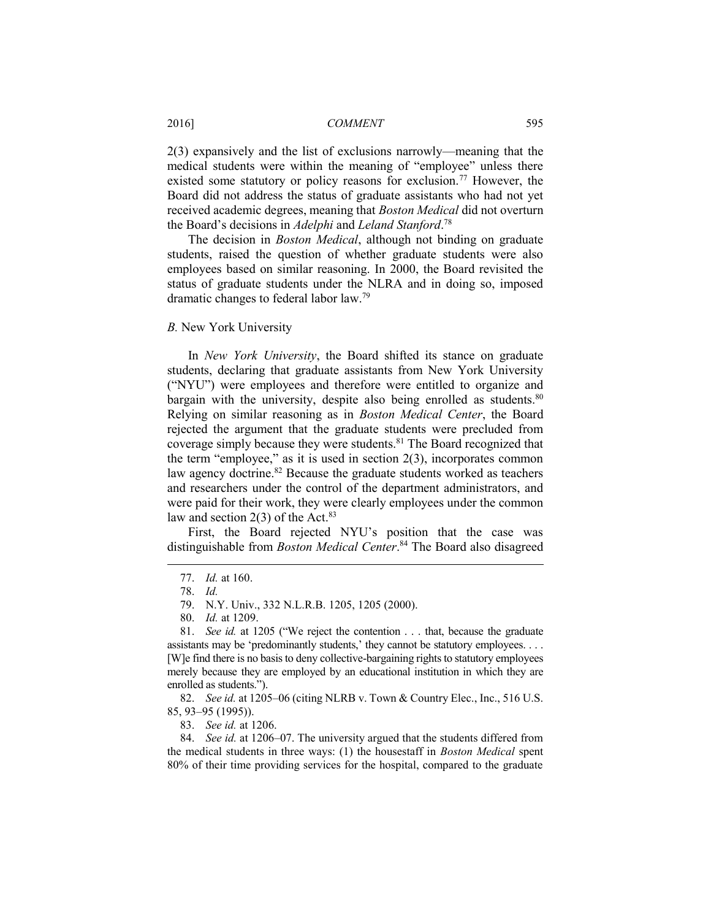#### 2016] *COMMENT* 595

2(3) expansively and the list of exclusions narrowly—meaning that the medical students were within the meaning of "employee" unless there existed some statutory or policy reasons for exclusion.<sup>77</sup> However, the Board did not address the status of graduate assistants who had not yet received academic degrees, meaning that *Boston Medical* did not overturn the Board's decisions in *Adelphi* and *Leland Stanford*. 78

The decision in *Boston Medical*, although not binding on graduate students, raised the question of whether graduate students were also employees based on similar reasoning. In 2000, the Board revisited the status of graduate students under the NLRA and in doing so, imposed dramatic changes to federal labor law.<sup>79</sup>

#### *B.* New York University

In *New York University*, the Board shifted its stance on graduate students, declaring that graduate assistants from New York University ("NYU") were employees and therefore were entitled to organize and bargain with the university, despite also being enrolled as students.<sup>80</sup> Relying on similar reasoning as in *Boston Medical Center*, the Board rejected the argument that the graduate students were precluded from coverage simply because they were students.<sup>81</sup> The Board recognized that the term "employee," as it is used in section 2(3), incorporates common law agency doctrine.<sup>82</sup> Because the graduate students worked as teachers and researchers under the control of the department administrators, and were paid for their work, they were clearly employees under the common law and section  $2(3)$  of the Act.<sup>83</sup>

First, the Board rejected NYU's position that the case was distinguishable from *Boston Medical Center*. <sup>84</sup> The Board also disagreed

 $\overline{a}$ 

79. N.Y. Univ., 332 N.L.R.B. 1205, 1205 (2000).

80. *Id.* at 1209.

82. *See id.* at 1205–06 (citing NLRB v. Town & Country Elec., Inc., 516 U.S. 85, 93–95 (1995)).

83. *See id.* at 1206.

84. *See id.* at 1206–07. The university argued that the students differed from the medical students in three ways: (1) the housestaff in *Boston Medical* spent 80% of their time providing services for the hospital, compared to the graduate

<sup>77.</sup> *Id.* at 160.

<sup>78.</sup> *Id.*

<sup>81.</sup> *See id.* at 1205 ("We reject the contention . . . that, because the graduate assistants may be 'predominantly students,' they cannot be statutory employees. . . . [W]e find there is no basis to deny collective-bargaining rights to statutory employees merely because they are employed by an educational institution in which they are enrolled as students.").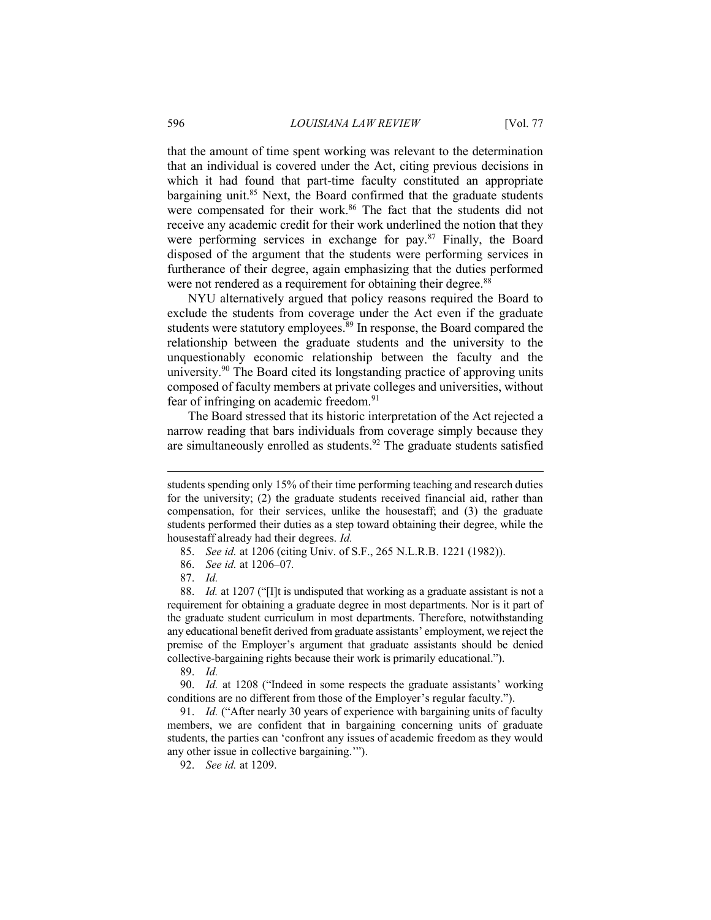that the amount of time spent working was relevant to the determination that an individual is covered under the Act, citing previous decisions in which it had found that part-time faculty constituted an appropriate bargaining unit.<sup>85</sup> Next, the Board confirmed that the graduate students were compensated for their work.<sup>86</sup> The fact that the students did not receive any academic credit for their work underlined the notion that they were performing services in exchange for pay.<sup>87</sup> Finally, the Board disposed of the argument that the students were performing services in furtherance of their degree, again emphasizing that the duties performed were not rendered as a requirement for obtaining their degree.<sup>88</sup>

NYU alternatively argued that policy reasons required the Board to exclude the students from coverage under the Act even if the graduate students were statutory employees.<sup>89</sup> In response, the Board compared the relationship between the graduate students and the university to the unquestionably economic relationship between the faculty and the university.<sup>90</sup> The Board cited its longstanding practice of approving units composed of faculty members at private colleges and universities, without fear of infringing on academic freedom.<sup>91</sup>

The Board stressed that its historic interpretation of the Act rejected a narrow reading that bars individuals from coverage simply because they are simultaneously enrolled as students.<sup>92</sup> The graduate students satisfied

86. *See id.* at 1206–07*.*

87. *Id.*

 $\overline{a}$ 

89. *Id.* 

90. *Id.* at 1208 ("Indeed in some respects the graduate assistants' working conditions are no different from those of the Employer's regular faculty.").

91. *Id.* ("After nearly 30 years of experience with bargaining units of faculty members, we are confident that in bargaining concerning units of graduate students, the parties can 'confront any issues of academic freedom as they would any other issue in collective bargaining.'").

92. *See id.* at 1209.

students spending only 15% of their time performing teaching and research duties for the university; (2) the graduate students received financial aid, rather than compensation, for their services, unlike the housestaff; and (3) the graduate students performed their duties as a step toward obtaining their degree, while the housestaff already had their degrees. *Id.* 

<sup>85.</sup> *See id.* at 1206 (citing Univ. of S.F., 265 N.L.R.B. 1221 (1982)).

<sup>88.</sup> *Id.* at 1207 ("[I]t is undisputed that working as a graduate assistant is not a requirement for obtaining a graduate degree in most departments. Nor is it part of the graduate student curriculum in most departments. Therefore, notwithstanding any educational benefit derived from graduate assistants' employment, we reject the premise of the Employer's argument that graduate assistants should be denied collective-bargaining rights because their work is primarily educational.").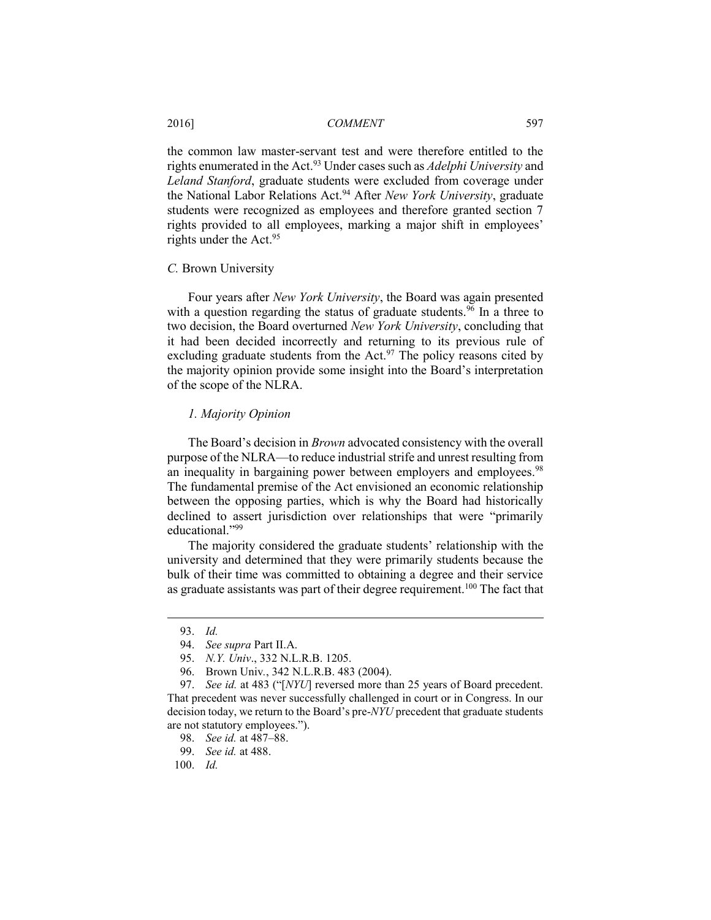#### 2016] *COMMENT* 597

the common law master-servant test and were therefore entitled to the rights enumerated in the Act.<sup>93</sup> Under cases such as *Adelphi University* and *Leland Stanford*, graduate students were excluded from coverage under the National Labor Relations Act.<sup>94</sup> After *New York University*, graduate students were recognized as employees and therefore granted section 7 rights provided to all employees, marking a major shift in employees' rights under the Act.<sup>95</sup>

#### *C.* Brown University

Four years after *New York University*, the Board was again presented with a question regarding the status of graduate students.<sup>96</sup> In a three to two decision, the Board overturned *New York University*, concluding that it had been decided incorrectly and returning to its previous rule of excluding graduate students from the  $Act.^{97}$  The policy reasons cited by the majority opinion provide some insight into the Board's interpretation of the scope of the NLRA.

## *1. Majority Opinion*

The Board's decision in *Brown* advocated consistency with the overall purpose of the NLRA—to reduce industrial strife and unrest resulting from an inequality in bargaining power between employers and employees.<sup>98</sup> The fundamental premise of the Act envisioned an economic relationship between the opposing parties, which is why the Board had historically declined to assert jurisdiction over relationships that were "primarily educational<sup>"99</sup>

The majority considered the graduate students' relationship with the university and determined that they were primarily students because the bulk of their time was committed to obtaining a degree and their service as graduate assistants was part of their degree requirement.<sup>100</sup> The fact that

 $\overline{a}$ 

100. *Id.* 

<sup>93.</sup> *Id.* 

<sup>94.</sup> *See supra* Part II.A.

<sup>95.</sup> *N.Y. Univ*., 332 N.L.R.B. 1205.

<sup>96.</sup> Brown Univ*.*, 342 N.L.R.B. 483 (2004).

<sup>97.</sup> *See id.* at 483 ("[*NYU*] reversed more than 25 years of Board precedent. That precedent was never successfully challenged in court or in Congress. In our decision today, we return to the Board's pre-*NYU* precedent that graduate students are not statutory employees.").

<sup>98.</sup> *See id.* at 487–88.

<sup>99.</sup> *See id.* at 488.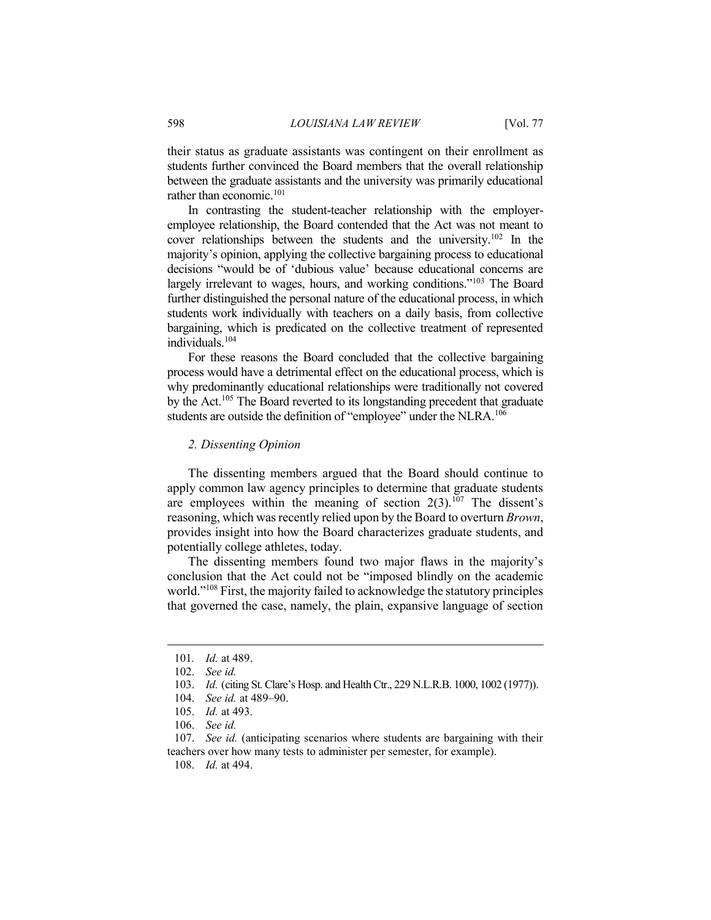their status as graduate assistants was contingent on their enrollment as students further convinced the Board members that the overall relationship between the graduate assistants and the university was primarily educational rather than economic.<sup>101</sup>

In contrasting the student-teacher relationship with the employeremployee relationship, the Board contended that the Act was not meant to cover relationships between the students and the university.<sup>102</sup> In the majority's opinion, applying the collective bargaining process to educational decisions "would be of 'dubious value' because educational concerns are largely irrelevant to wages, hours, and working conditions."<sup>103</sup> The Board further distinguished the personal nature of the educational process, in which students work individually with teachers on a daily basis, from collective bargaining, which is predicated on the collective treatment of represented individuals<sup>104</sup>

For these reasons the Board concluded that the collective bargaining process would have a detrimental effect on the educational process, which is why predominantly educational relationships were traditionally not covered by the Act.<sup>105</sup> The Board reverted to its longstanding precedent that graduate students are outside the definition of "employee" under the NLRA.<sup>106</sup>

# *2. Dissenting Opinion*

The dissenting members argued that the Board should continue to apply common law agency principles to determine that graduate students are employees within the meaning of section  $2(3)$ .<sup>107</sup> The dissent's reasoning, which was recently relied upon by the Board to overturn *Brown*, provides insight into how the Board characterizes graduate students, and potentially college athletes, today.

The dissenting members found two major flaws in the majority's conclusion that the Act could not be "imposed blindly on the academic world."<sup>108</sup> First, the majority failed to acknowledge the statutory principles that governed the case, namely, the plain, expansive language of section

 $\overline{a}$ 

105. *Id.* at 493.

<sup>101</sup>*. Id.* at 489.

<sup>102.</sup> *See id.* 

<sup>103.</sup> *Id.* (citing St. Clare's Hosp. and Health Ctr., 229 N.L.R.B. 1000, 1002 (1977)).

<sup>104.</sup> *See id.* at 489–90.

<sup>106.</sup> *See id.* 

<sup>107.</sup> *See id.* (anticipating scenarios where students are bargaining with their teachers over how many tests to administer per semester, for example).

<sup>108.</sup> *Id.* at 494.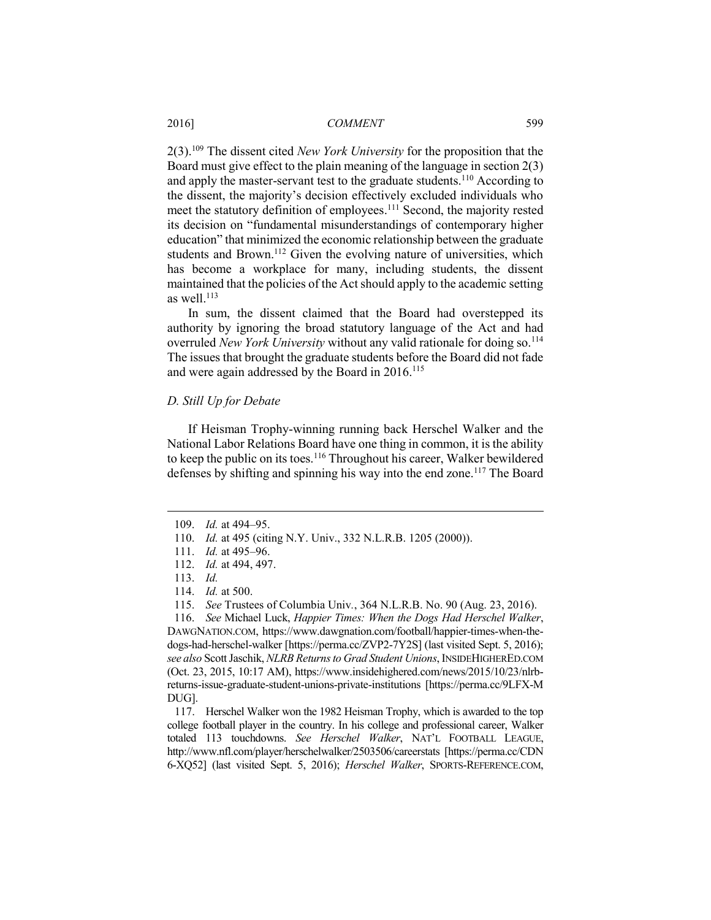2(3).<sup>109</sup> The dissent cited *New York University* for the proposition that the Board must give effect to the plain meaning of the language in section 2(3) and apply the master-servant test to the graduate students.<sup>110</sup> According to the dissent, the majority's decision effectively excluded individuals who meet the statutory definition of employees.<sup>111</sup> Second, the majority rested its decision on "fundamental misunderstandings of contemporary higher education" that minimized the economic relationship between the graduate students and Brown.<sup>112</sup> Given the evolving nature of universities, which has become a workplace for many, including students, the dissent maintained that the policies of the Act should apply to the academic setting as well. $^{113}$ 

In sum, the dissent claimed that the Board had overstepped its authority by ignoring the broad statutory language of the Act and had overruled *New York University* without any valid rationale for doing so.<sup>114</sup> The issues that brought the graduate students before the Board did not fade and were again addressed by the Board in 2016.<sup>115</sup>

#### *D. Still Up for Debate*

If Heisman Trophy-winning running back Herschel Walker and the National Labor Relations Board have one thing in common, it is the ability to keep the public on its toes.<sup>116</sup> Throughout his career, Walker bewildered defenses by shifting and spinning his way into the end zone.<sup>117</sup> The Board

 $\overline{a}$ 

116. *See* Michael Luck, *Happier Times: When the Dogs Had Herschel Walker*, DAWGNATION.COM, https://www.dawgnation.com/football/happier-times-when-thedogs-had-herschel-walker [https://perma.cc/ZVP2-7Y2S] (last visited Sept. 5, 2016); *see also* Scott Jaschik, *NLRB Returns to Grad Student Unions*, INSIDEHIGHERED.COM (Oct. 23, 2015, 10:17 AM), https://www.insidehighered.com/news/2015/10/23/nlrbreturns-issue-graduate-student-unions-private-institutions [https://perma.cc/9LFX-M DUG].

117. Herschel Walker won the 1982 Heisman Trophy, which is awarded to the top college football player in the country. In his college and professional career, Walker totaled 113 touchdowns. *See Herschel Walker*, NAT'L FOOTBALL LEAGUE, http://www.nfl.com/player/herschelwalker/2503506/careerstats [https://perma.cc/CDN 6-XQ52] (last visited Sept. 5, 2016); *Herschel Walker*, SPORTS-REFERENCE.COM,

<sup>109.</sup> *Id.* at 494–95.

<sup>110.</sup> *Id.* at 495 (citing N.Y. Univ., 332 N.L.R.B. 1205 (2000)).

<sup>111.</sup> *Id.* at 495–96.

<sup>112.</sup> *Id.* at 494, 497.

<sup>113.</sup> *Id.* 

<sup>114.</sup> *Id.* at 500.

<sup>115.</sup> *See* Trustees of Columbia Univ*.*, 364 N.L.R.B. No. 90 (Aug. 23, 2016).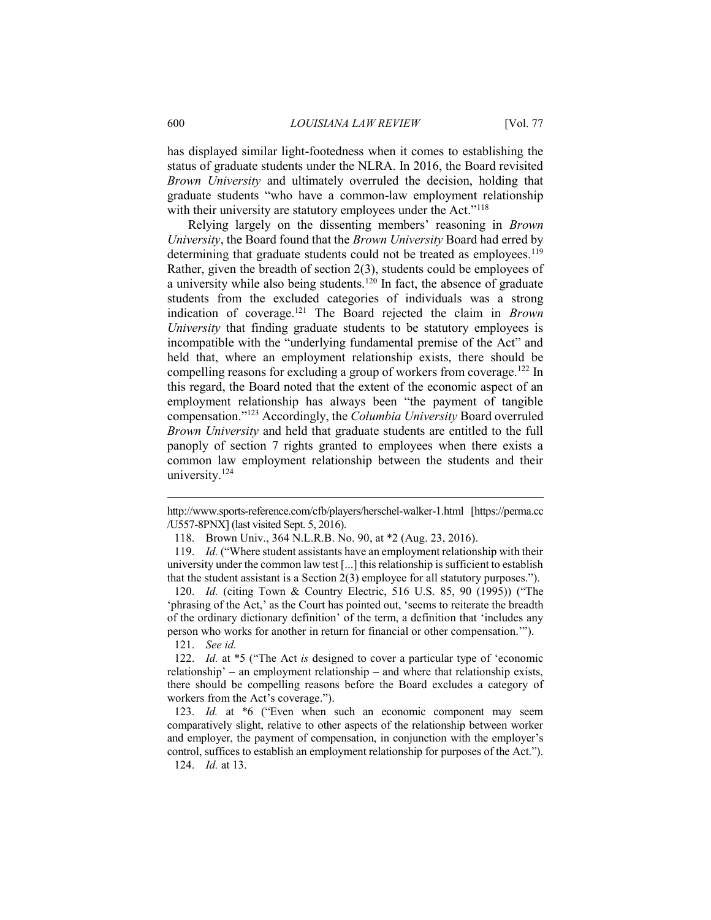has displayed similar light-footedness when it comes to establishing the status of graduate students under the NLRA. In 2016, the Board revisited *Brown University* and ultimately overruled the decision, holding that graduate students "who have a common-law employment relationship with their university are statutory employees under the Act."<sup>118</sup>

Relying largely on the dissenting members' reasoning in *Brown University*, the Board found that the *Brown University* Board had erred by determining that graduate students could not be treated as employees.<sup>119</sup> Rather, given the breadth of section 2(3), students could be employees of a university while also being students.<sup>120</sup> In fact, the absence of graduate students from the excluded categories of individuals was a strong indication of coverage.<sup>121</sup> The Board rejected the claim in *Brown University* that finding graduate students to be statutory employees is incompatible with the "underlying fundamental premise of the Act" and held that, where an employment relationship exists, there should be compelling reasons for excluding a group of workers from coverage.<sup>122</sup> In this regard, the Board noted that the extent of the economic aspect of an employment relationship has always been "the payment of tangible compensation."<sup>123</sup> Accordingly, the *Columbia University* Board overruled *Brown University* and held that graduate students are entitled to the full panoply of section 7 rights granted to employees when there exists a common law employment relationship between the students and their university. $124$ 

http://www.sports-reference.com/cfb/players/herschel-walker-1.html [https://perma.cc /U557-8PNX] (last visited Sept. 5, 2016).

<sup>118.</sup> Brown Univ., 364 N.L.R.B. No. 90, at \*2 (Aug. 23, 2016).

<sup>119.</sup> *Id.* ("Where student assistants have an employment relationship with their university under the common law test [...] this relationship is sufficient to establish that the student assistant is a Section 2(3) employee for all statutory purposes.").

<sup>120.</sup> *Id.* (citing Town & Country Electric, 516 U.S. 85, 90 (1995)) ("The 'phrasing of the Act,' as the Court has pointed out, 'seems to reiterate the breadth of the ordinary dictionary definition' of the term, a definition that 'includes any person who works for another in return for financial or other compensation.'").

<sup>121.</sup> *See id.*

<sup>122.</sup> *Id.* at \*5 ("The Act *is* designed to cover a particular type of 'economic relationship' – an employment relationship – and where that relationship exists, there should be compelling reasons before the Board excludes a category of workers from the Act's coverage.").

<sup>123.</sup> *Id.* at \*6 ("Even when such an economic component may seem comparatively slight, relative to other aspects of the relationship between worker and employer, the payment of compensation, in conjunction with the employer's control, suffices to establish an employment relationship for purposes of the Act."). 124. *Id.* at 13.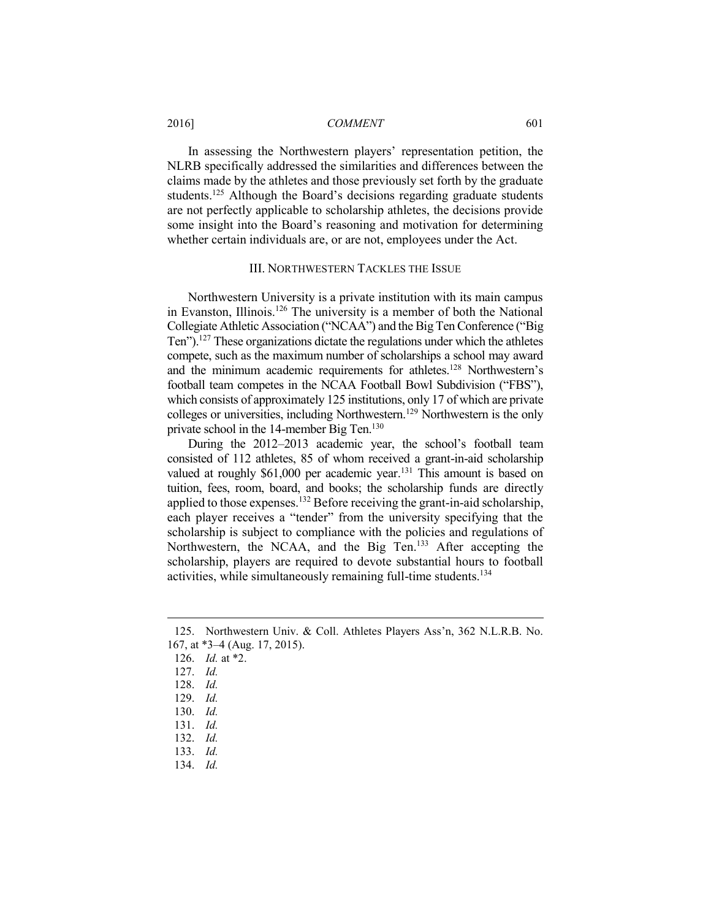2016] *COMMENT* 601

In assessing the Northwestern players' representation petition, the NLRB specifically addressed the similarities and differences between the claims made by the athletes and those previously set forth by the graduate students.<sup>125</sup> Although the Board's decisions regarding graduate students are not perfectly applicable to scholarship athletes, the decisions provide some insight into the Board's reasoning and motivation for determining whether certain individuals are, or are not, employees under the Act.

#### III. NORTHWESTERN TACKLES THE ISSUE

Northwestern University is a private institution with its main campus in Evanston, Illinois.<sup>126</sup> The university is a member of both the National Collegiate Athletic Association ("NCAA") and the Big Ten Conference ("Big Ten").<sup>127</sup> These organizations dictate the regulations under which the athletes compete, such as the maximum number of scholarships a school may award and the minimum academic requirements for athletes.<sup>128</sup> Northwestern's football team competes in the NCAA Football Bowl Subdivision ("FBS"), which consists of approximately 125 institutions, only 17 of which are private colleges or universities, including Northwestern.<sup>129</sup> Northwestern is the only private school in the 14-member Big Ten.<sup>130</sup>

During the 2012–2013 academic year, the school's football team consisted of 112 athletes, 85 of whom received a grant-in-aid scholarship valued at roughly \$61,000 per academic year.<sup>131</sup> This amount is based on tuition, fees, room, board, and books; the scholarship funds are directly applied to those expenses.<sup>132</sup> Before receiving the grant-in-aid scholarship, each player receives a "tender" from the university specifying that the scholarship is subject to compliance with the policies and regulations of Northwestern, the NCAA, and the Big Ten.<sup>133</sup> After accepting the scholarship, players are required to devote substantial hours to football activities, while simultaneously remaining full-time students.<sup>134</sup>

126. *Id.* at \*2.

- 131. *Id.*
- 132. *Id.*
- 133. *Id.*
- 134. *Id.*

<sup>125.</sup> Northwestern Univ. & Coll. Athletes Players Ass'n, 362 N.L.R.B. No. 167, at \*3–4 (Aug. 17, 2015).

<sup>127.</sup> *Id.* 

<sup>128.</sup> *Id.* 

<sup>129.</sup> *Id.* 

<sup>130.</sup> *Id.*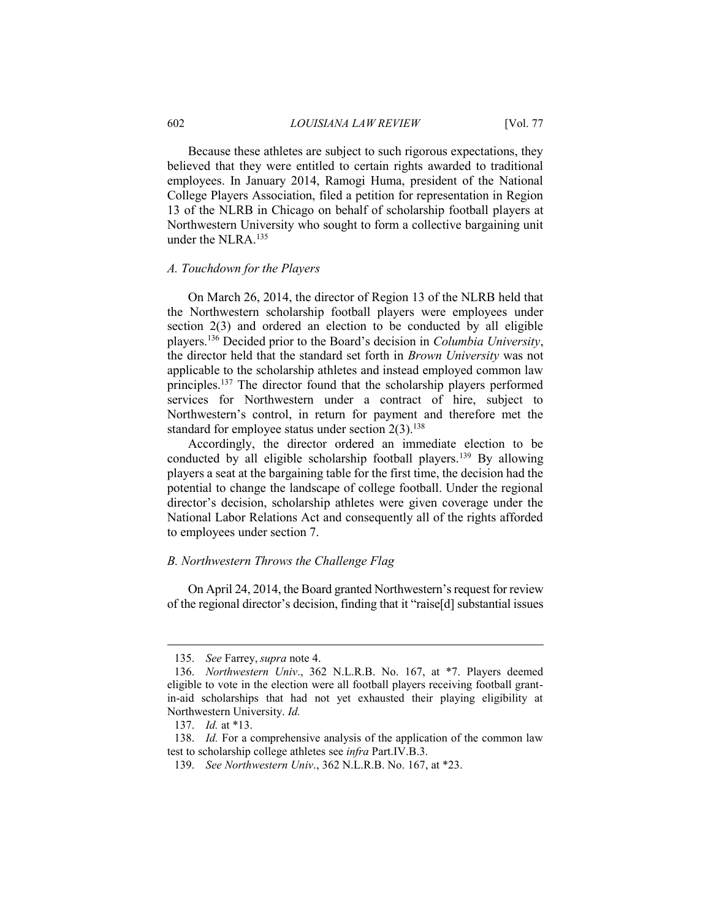Because these athletes are subject to such rigorous expectations, they believed that they were entitled to certain rights awarded to traditional employees. In January 2014, Ramogi Huma, president of the National College Players Association, filed a petition for representation in Region 13 of the NLRB in Chicago on behalf of scholarship football players at Northwestern University who sought to form a collective bargaining unit under the NLRA.<sup>135</sup>

#### *A. Touchdown for the Players*

On March 26, 2014, the director of Region 13 of the NLRB held that the Northwestern scholarship football players were employees under section 2(3) and ordered an election to be conducted by all eligible players.<sup>136</sup> Decided prior to the Board's decision in *Columbia University*, the director held that the standard set forth in *Brown University* was not applicable to the scholarship athletes and instead employed common law principles.<sup>137</sup> The director found that the scholarship players performed services for Northwestern under a contract of hire, subject to Northwestern's control, in return for payment and therefore met the standard for employee status under section  $2(3)$ .<sup>138</sup>

Accordingly, the director ordered an immediate election to be conducted by all eligible scholarship football players.<sup>139</sup> By allowing players a seat at the bargaining table for the first time, the decision had the potential to change the landscape of college football. Under the regional director's decision, scholarship athletes were given coverage under the National Labor Relations Act and consequently all of the rights afforded to employees under section 7.

# *B. Northwestern Throws the Challenge Flag*

On April 24, 2014, the Board granted Northwestern's request for review of the regional director's decision, finding that it "raise[d] substantial issues

<sup>135.</sup> *See* Farrey, *supra* note 4.

<sup>136.</sup> *Northwestern Univ*., 362 N.L.R.B. No. 167, at \*7. Players deemed eligible to vote in the election were all football players receiving football grantin-aid scholarships that had not yet exhausted their playing eligibility at Northwestern University. *Id.*

<sup>137.</sup> *Id.* at \*13.

<sup>138.</sup> *Id.* For a comprehensive analysis of the application of the common law test to scholarship college athletes see *infra* Part.IV.B.3.

<sup>139.</sup> *See Northwestern Univ*., 362 N.L.R.B. No. 167, at \*23.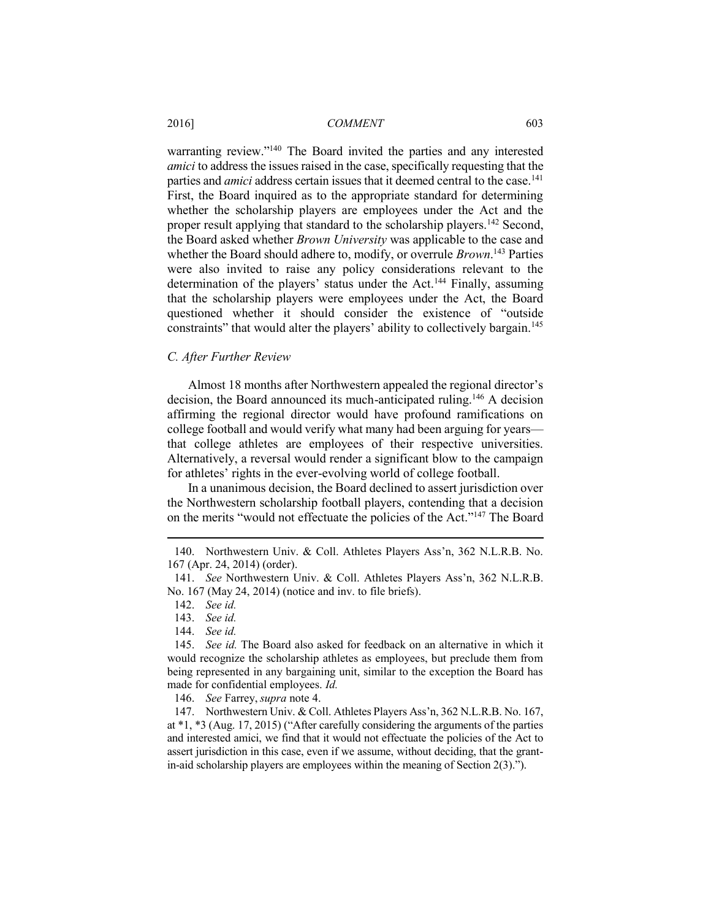warranting review."<sup>140</sup> The Board invited the parties and any interested *amici* to address the issues raised in the case, specifically requesting that the parties and *amici* address certain issues that it deemed central to the case.<sup>141</sup> First, the Board inquired as to the appropriate standard for determining whether the scholarship players are employees under the Act and the proper result applying that standard to the scholarship players.<sup>142</sup> Second, the Board asked whether *Brown University* was applicable to the case and whether the Board should adhere to, modify, or overrule *Brown*. <sup>143</sup> Parties were also invited to raise any policy considerations relevant to the determination of the players' status under the Act.<sup>144</sup> Finally, assuming that the scholarship players were employees under the Act, the Board questioned whether it should consider the existence of "outside constraints" that would alter the players' ability to collectively bargain.<sup>145</sup>

#### *C. After Further Review*

Almost 18 months after Northwestern appealed the regional director's decision, the Board announced its much-anticipated ruling.<sup>146</sup> A decision affirming the regional director would have profound ramifications on college football and would verify what many had been arguing for years that college athletes are employees of their respective universities. Alternatively, a reversal would render a significant blow to the campaign for athletes' rights in the ever-evolving world of college football.

In a unanimous decision, the Board declined to assert jurisdiction over the Northwestern scholarship football players, contending that a decision on the merits "would not effectuate the policies of the Act."<sup>147</sup> The Board

 $\overline{a}$ 

144. *See id.*

146. *See* Farrey, *supra* note 4.

147. Northwestern Univ. & Coll. Athletes Players Ass'n, 362 N.L.R.B. No. 167, at \*1, \*3 (Aug. 17, 2015) ("After carefully considering the arguments of the parties and interested amici, we find that it would not effectuate the policies of the Act to assert jurisdiction in this case, even if we assume, without deciding, that the grantin-aid scholarship players are employees within the meaning of Section 2(3).").

<sup>140.</sup> Northwestern Univ. & Coll. Athletes Players Ass'n, 362 N.L.R.B. No. 167 (Apr. 24, 2014) (order).

<sup>141.</sup> *See* Northwestern Univ. & Coll. Athletes Players Ass'n, 362 N.L.R.B. No. 167 (May 24, 2014) (notice and inv. to file briefs).

<sup>142.</sup> *See id.*

<sup>143.</sup> *See id.*

<sup>145.</sup> *See id.* The Board also asked for feedback on an alternative in which it would recognize the scholarship athletes as employees, but preclude them from being represented in any bargaining unit, similar to the exception the Board has made for confidential employees. *Id.*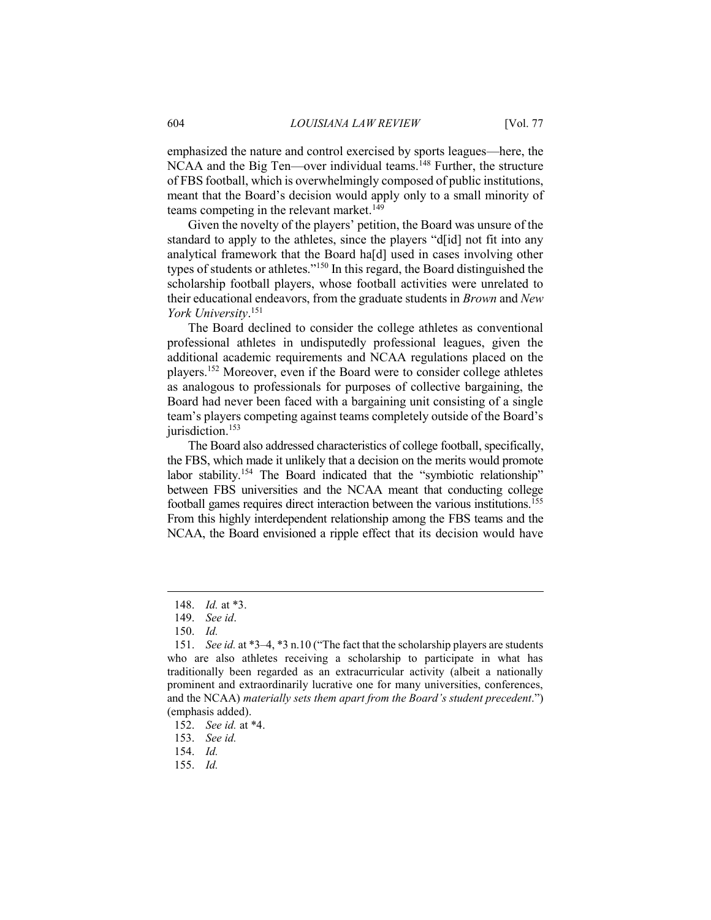emphasized the nature and control exercised by sports leagues—here, the NCAA and the Big Ten—over individual teams.<sup>148</sup> Further, the structure of FBS football, which is overwhelmingly composed of public institutions, meant that the Board's decision would apply only to a small minority of teams competing in the relevant market.<sup>149</sup>

Given the novelty of the players' petition, the Board was unsure of the standard to apply to the athletes, since the players "d[id] not fit into any analytical framework that the Board ha[d] used in cases involving other types of students or athletes."<sup>150</sup> In this regard, the Board distinguished the scholarship football players, whose football activities were unrelated to their educational endeavors, from the graduate students in *Brown* and *New York University*. 151

The Board declined to consider the college athletes as conventional professional athletes in undisputedly professional leagues, given the additional academic requirements and NCAA regulations placed on the players.<sup>152</sup> Moreover, even if the Board were to consider college athletes as analogous to professionals for purposes of collective bargaining, the Board had never been faced with a bargaining unit consisting of a single team's players competing against teams completely outside of the Board's jurisdiction.<sup>153</sup>

The Board also addressed characteristics of college football, specifically, the FBS, which made it unlikely that a decision on the merits would promote labor stability.<sup>154</sup> The Board indicated that the "symbiotic relationship" between FBS universities and the NCAA meant that conducting college football games requires direct interaction between the various institutions.<sup>155</sup> From this highly interdependent relationship among the FBS teams and the NCAA, the Board envisioned a ripple effect that its decision would have

 $\overline{a}$ 

153. *See id.* 

154. *Id.* 

155. *Id.* 

<sup>148.</sup> *Id.* at \*3.

<sup>149.</sup> *See id*.

<sup>150.</sup> *Id.* 

<sup>151.</sup> *See id.* at \*3–4, \*3 n.10 ("The fact that the scholarship players are students who are also athletes receiving a scholarship to participate in what has traditionally been regarded as an extracurricular activity (albeit a nationally prominent and extraordinarily lucrative one for many universities, conferences, and the NCAA) *materially sets them apart from the Board's student precedent*.") (emphasis added).

<sup>152.</sup> *See id.* at \*4.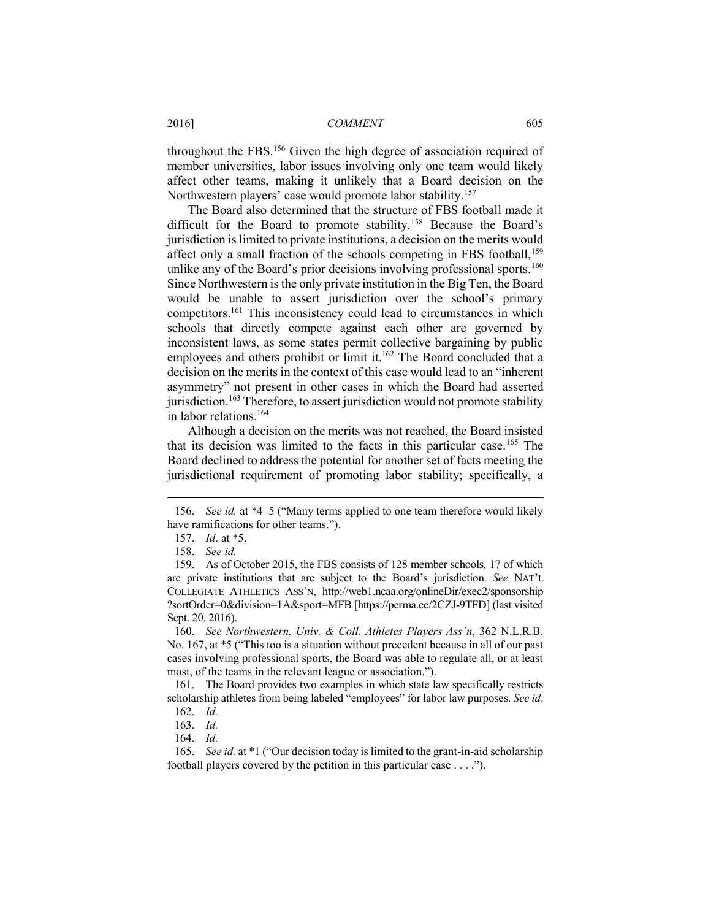throughout the FBS.<sup>156</sup> Given the high degree of association required of member universities, labor issues involving only one team would likely affect other teams, making it unlikely that a Board decision on the Northwestern players' case would promote labor stability.<sup>157</sup>

The Board also determined that the structure of FBS football made it difficult for the Board to promote stability.<sup>158</sup> Because the Board's jurisdiction is limited to private institutions, a decision on the merits would affect only a small fraction of the schools competing in FBS football,  $159$ unlike any of the Board's prior decisions involving professional sports.<sup>160</sup> Since Northwestern is the only private institution in the Big Ten, the Board would be unable to assert jurisdiction over the school's primary competitors.<sup>161</sup> This inconsistency could lead to circumstances in which schools that directly compete against each other are governed by inconsistent laws, as some states permit collective bargaining by public employees and others prohibit or limit it.<sup>162</sup> The Board concluded that a decision on the merits in the context of this case would lead to an "inherent asymmetry" not present in other cases in which the Board had asserted jurisdiction.<sup>163</sup> Therefore, to assert jurisdiction would not promote stability in labor relations.<sup>164</sup>

Although a decision on the merits was not reached, the Board insisted that its decision was limited to the facts in this particular case.<sup>165</sup> The Board declined to address the potential for another set of facts meeting the jurisdictional requirement of promoting labor stability; specifically, a

 $\overline{a}$ 

163. *Id.* 

164. *Id.* 

<sup>156.</sup> *See id.* at \*4–5 ("Many terms applied to one team therefore would likely have ramifications for other teams.").

<sup>157.</sup> *Id*. at \*5.

<sup>158.</sup> *See id.*

<sup>159.</sup> As of October 2015, the FBS consists of 128 member schools, 17 of which are private institutions that are subject to the Board's jurisdiction. *See* NAT'L COLLEGIATE ATHLETICS ASS'N, http://web1.ncaa.org/onlineDir/exec2/sponsorship ?sortOrder=0&division=1A&sport=MFB [https://perma.cc/2CZJ-9TFD] (last visited Sept. 20, 2016).

<sup>160.</sup> *See Northwestern. Univ. & Coll. Athletes Players Ass'n*, 362 N.L.R.B. No. 167, at \*5 ("This too is a situation without precedent because in all of our past cases involving professional sports, the Board was able to regulate all, or at least most, of the teams in the relevant league or association.").

<sup>161.</sup> The Board provides two examples in which state law specifically restricts scholarship athletes from being labeled "employees" for labor law purposes. *See id*.

<sup>162.</sup> *Id.* 

<sup>165.</sup> *See id.* at \*1 ("Our decision today is limited to the grant-in-aid scholarship football players covered by the petition in this particular case . . . .").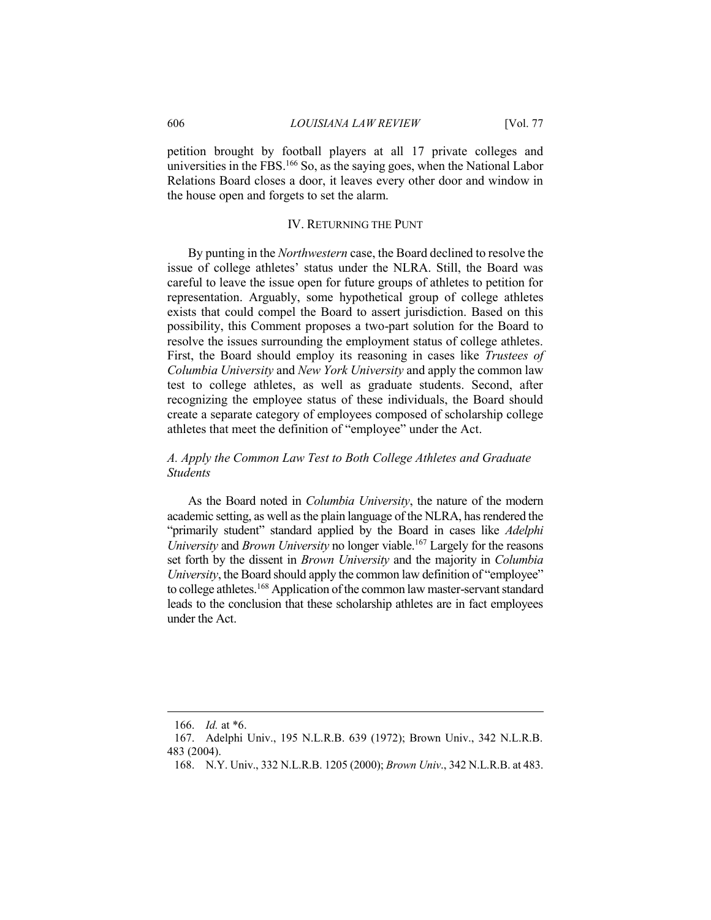petition brought by football players at all 17 private colleges and universities in the FBS.<sup>166</sup> So, as the saying goes, when the National Labor Relations Board closes a door, it leaves every other door and window in the house open and forgets to set the alarm.

#### IV. RETURNING THE PUNT

By punting in the *Northwestern* case, the Board declined to resolve the issue of college athletes' status under the NLRA. Still, the Board was careful to leave the issue open for future groups of athletes to petition for representation. Arguably, some hypothetical group of college athletes exists that could compel the Board to assert jurisdiction. Based on this possibility, this Comment proposes a two-part solution for the Board to resolve the issues surrounding the employment status of college athletes. First, the Board should employ its reasoning in cases like *Trustees of Columbia University* and *New York University* and apply the common law test to college athletes, as well as graduate students. Second, after recognizing the employee status of these individuals, the Board should create a separate category of employees composed of scholarship college athletes that meet the definition of "employee" under the Act.

# *A. Apply the Common Law Test to Both College Athletes and Graduate Students*

As the Board noted in *Columbia University*, the nature of the modern academic setting, as well as the plain language of the NLRA, has rendered the "primarily student" standard applied by the Board in cases like *Adelphi University* and *Brown University* no longer viable.<sup>167</sup> Largely for the reasons set forth by the dissent in *Brown University* and the majority in *Columbia University*, the Board should apply the common law definition of "employee" to college athletes.<sup>168</sup> Application of the common law master-servant standard leads to the conclusion that these scholarship athletes are in fact employees under the Act.

<sup>166.</sup> *Id.* at \*6.

<sup>167.</sup> Adelphi Univ., 195 N.L.R.B. 639 (1972); Brown Univ., 342 N.L.R.B. 483 (2004).

<sup>168.</sup> N.Y. Univ., 332 N.L.R.B. 1205 (2000); *Brown Univ*., 342 N.L.R.B. at 483.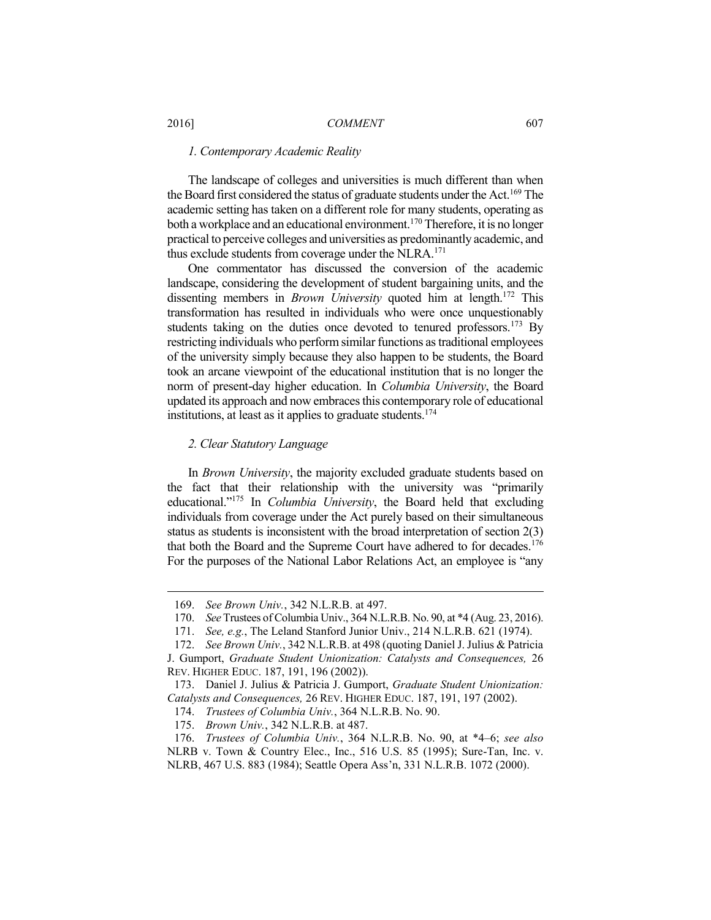## *1. Contemporary Academic Reality*

The landscape of colleges and universities is much different than when the Board first considered the status of graduate students under the Act.<sup>169</sup> The academic setting has taken on a different role for many students, operating as both a workplace and an educational environment.<sup>170</sup> Therefore, it is no longer practical to perceive colleges and universities as predominantly academic, and thus exclude students from coverage under the  $NLRA$ <sup>171</sup>

One commentator has discussed the conversion of the academic landscape, considering the development of student bargaining units, and the dissenting members in *Brown University* quoted him at length. <sup>172</sup> This transformation has resulted in individuals who were once unquestionably students taking on the duties once devoted to tenured professors.<sup>173</sup> By restricting individuals who perform similar functions as traditional employees of the university simply because they also happen to be students, the Board took an arcane viewpoint of the educational institution that is no longer the norm of present-day higher education. In *Columbia University*, the Board updated its approach and now embraces this contemporary role of educational institutions, at least as it applies to graduate students.<sup>174</sup>

#### *2. Clear Statutory Language*

In *Brown University*, the majority excluded graduate students based on the fact that their relationship with the university was "primarily educational."<sup>175</sup> In *Columbia University*, the Board held that excluding individuals from coverage under the Act purely based on their simultaneous status as students is inconsistent with the broad interpretation of section 2(3) that both the Board and the Supreme Court have adhered to for decades.<sup>176</sup> For the purposes of the National Labor Relations Act, an employee is "any

<sup>169.</sup> *See Brown Univ.*, 342 N.L.R.B. at 497.

<sup>170.</sup> *See* Trustees of Columbia Univ., 364 N.L.R.B. No. 90, at \*4 (Aug. 23, 2016).

<sup>171.</sup> *See, e.g.*, The Leland Stanford Junior Univ., 214 N.L.R.B. 621 (1974).

<sup>172.</sup> *See Brown Univ.*, 342 N.L.R.B. at 498 (quoting Daniel J. Julius & Patricia J. Gumport, *Graduate Student Unionization: Catalysts and Consequences,* 26 REV. HIGHER EDUC. 187, 191, 196 (2002)).

<sup>173.</sup> Daniel J. Julius & Patricia J. Gumport, *Graduate Student Unionization: Catalysts and Consequences,* 26 REV. HIGHER EDUC. 187, 191, 197 (2002).

<sup>174.</sup> *Trustees of Columbia Univ.*, 364 N.L.R.B. No. 90.

<sup>175.</sup> *Brown Univ.*, 342 N.L.R.B. at 487.

<sup>176.</sup> *Trustees of Columbia Univ.*, 364 N.L.R.B. No. 90, at \*4–6; *see also* NLRB v. Town & Country Elec., Inc., 516 U.S. 85 (1995); Sure-Tan, Inc. v. NLRB, 467 U.S. 883 (1984); Seattle Opera Ass'n, 331 N.L.R.B. 1072 (2000).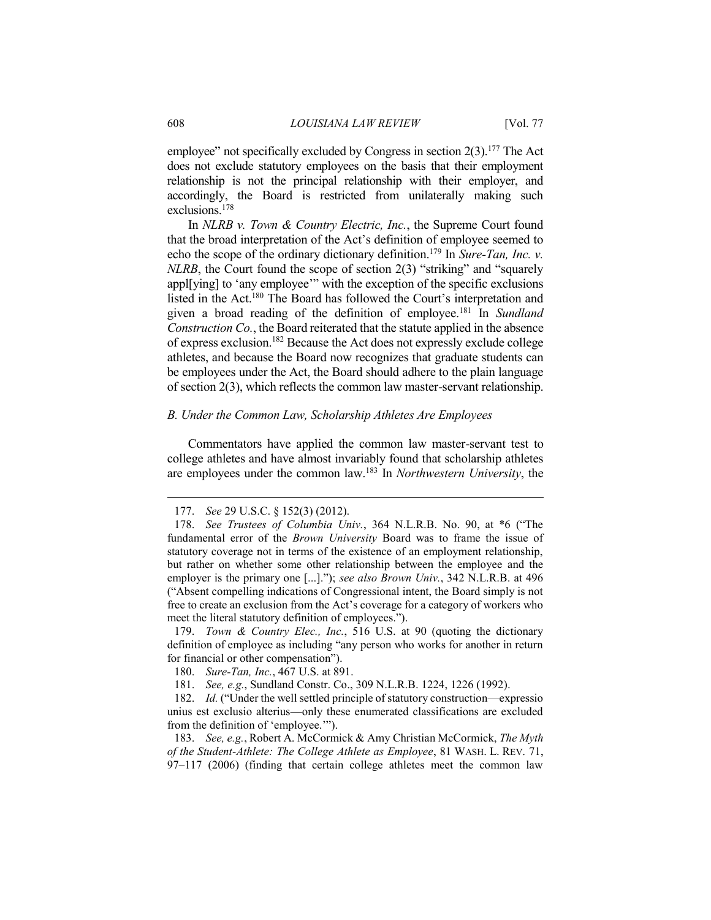employee" not specifically excluded by Congress in section  $2(3)$ .<sup>177</sup> The Act does not exclude statutory employees on the basis that their employment relationship is not the principal relationship with their employer, and accordingly, the Board is restricted from unilaterally making such exclusions.<sup>178</sup>

In *NLRB v. Town & Country Electric, Inc.*, the Supreme Court found that the broad interpretation of the Act's definition of employee seemed to echo the scope of the ordinary dictionary definition.<sup>179</sup> In *Sure-Tan, Inc. v. NLRB*, the Court found the scope of section 2(3) "striking" and "squarely appl[ying] to 'any employee'" with the exception of the specific exclusions listed in the Act.<sup>180</sup> The Board has followed the Court's interpretation and given a broad reading of the definition of employee.<sup>181</sup> In *Sundland Construction Co.*, the Board reiterated that the statute applied in the absence of express exclusion.<sup>182</sup> Because the Act does not expressly exclude college athletes, and because the Board now recognizes that graduate students can be employees under the Act, the Board should adhere to the plain language of section 2(3), which reflects the common law master-servant relationship.

#### *B. Under the Common Law, Scholarship Athletes Are Employees*

Commentators have applied the common law master-servant test to college athletes and have almost invariably found that scholarship athletes are employees under the common law.<sup>183</sup> In *Northwestern University*, the

179. *Town & Country Elec., Inc.*, 516 U.S. at 90 (quoting the dictionary definition of employee as including "any person who works for another in return for financial or other compensation").

<sup>177.</sup> *See* 29 U.S.C. § 152(3) (2012).

<sup>178.</sup> *See Trustees of Columbia Univ.*, 364 N.L.R.B. No. 90, at \*6 ("The fundamental error of the *Brown University* Board was to frame the issue of statutory coverage not in terms of the existence of an employment relationship, but rather on whether some other relationship between the employee and the employer is the primary one [...]."); *see also Brown Univ.*, 342 N.L.R.B. at 496 ("Absent compelling indications of Congressional intent, the Board simply is not free to create an exclusion from the Act's coverage for a category of workers who meet the literal statutory definition of employees.").

<sup>180.</sup> *Sure-Tan, Inc.*, 467 U.S. at 891.

<sup>181.</sup> *See, e.g.*, Sundland Constr. Co., 309 N.L.R.B. 1224, 1226 (1992).

<sup>182.</sup> *Id.* ("Under the well settled principle of statutory construction—expressio unius est exclusio alterius—only these enumerated classifications are excluded from the definition of 'employee.'").

<sup>183.</sup> *See, e.g.*, Robert A. McCormick & Amy Christian McCormick, *The Myth of the Student-Athlete: The College Athlete as Employee*, 81 WASH. L. REV. 71, 97–117 (2006) (finding that certain college athletes meet the common law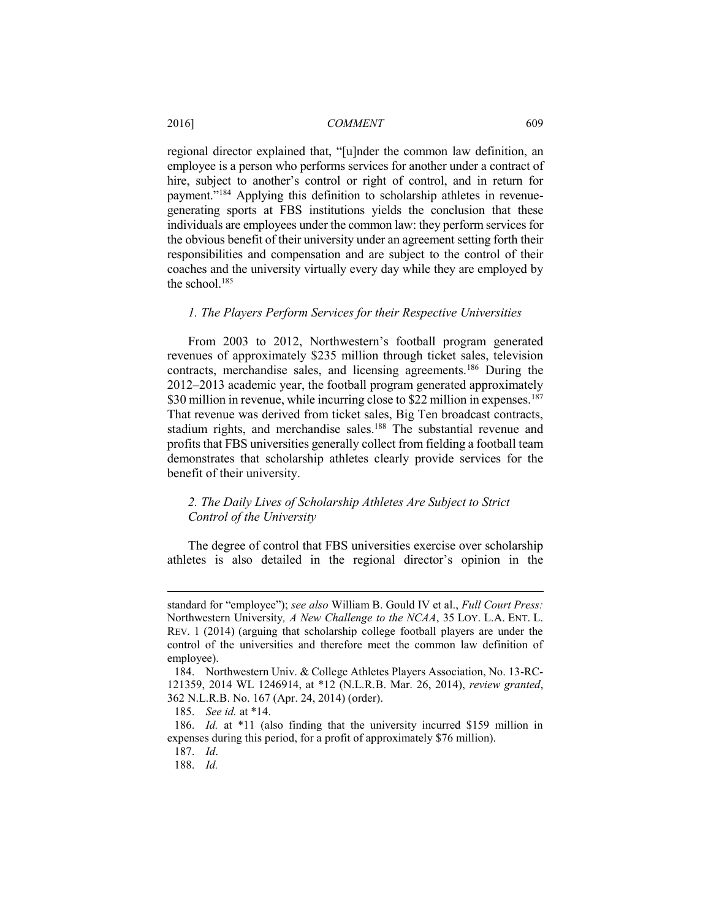regional director explained that, "[u]nder the common law definition, an employee is a person who performs services for another under a contract of hire, subject to another's control or right of control, and in return for payment."<sup>184</sup> Applying this definition to scholarship athletes in revenuegenerating sports at FBS institutions yields the conclusion that these individuals are employees under the common law: they perform services for the obvious benefit of their university under an agreement setting forth their responsibilities and compensation and are subject to the control of their coaches and the university virtually every day while they are employed by the school.<sup>185</sup>

#### *1. The Players Perform Services for their Respective Universities*

From 2003 to 2012, Northwestern's football program generated revenues of approximately \$235 million through ticket sales, television contracts, merchandise sales, and licensing agreements.<sup>186</sup> During the 2012–2013 academic year, the football program generated approximately \$30 million in revenue, while incurring close to \$22 million in expenses.<sup>187</sup> That revenue was derived from ticket sales, Big Ten broadcast contracts, stadium rights, and merchandise sales.<sup>188</sup> The substantial revenue and profits that FBS universities generally collect from fielding a football team demonstrates that scholarship athletes clearly provide services for the benefit of their university.

# *2. The Daily Lives of Scholarship Athletes Are Subject to Strict Control of the University*

The degree of control that FBS universities exercise over scholarship athletes is also detailed in the regional director's opinion in the

standard for "employee"); *see also* William B. Gould IV et al., *Full Court Press:*  Northwestern University*, A New Challenge to the NCAA*, 35 LOY. L.A. ENT. L. REV. 1 (2014) (arguing that scholarship college football players are under the control of the universities and therefore meet the common law definition of employee).

<sup>184.</sup> Northwestern Univ. & College Athletes Players Association, No. 13-RC-121359, 2014 WL 1246914, at \*12 (N.L.R.B. Mar. 26, 2014), *review granted*, 362 N.L.R.B. No. 167 (Apr. 24, 2014) (order).

<sup>185.</sup> *See id.* at \*14.

<sup>186.</sup> *Id.* at \*11 (also finding that the university incurred \$159 million in expenses during this period, for a profit of approximately \$76 million).

<sup>187.</sup> *Id*.

<sup>188.</sup> *Id.*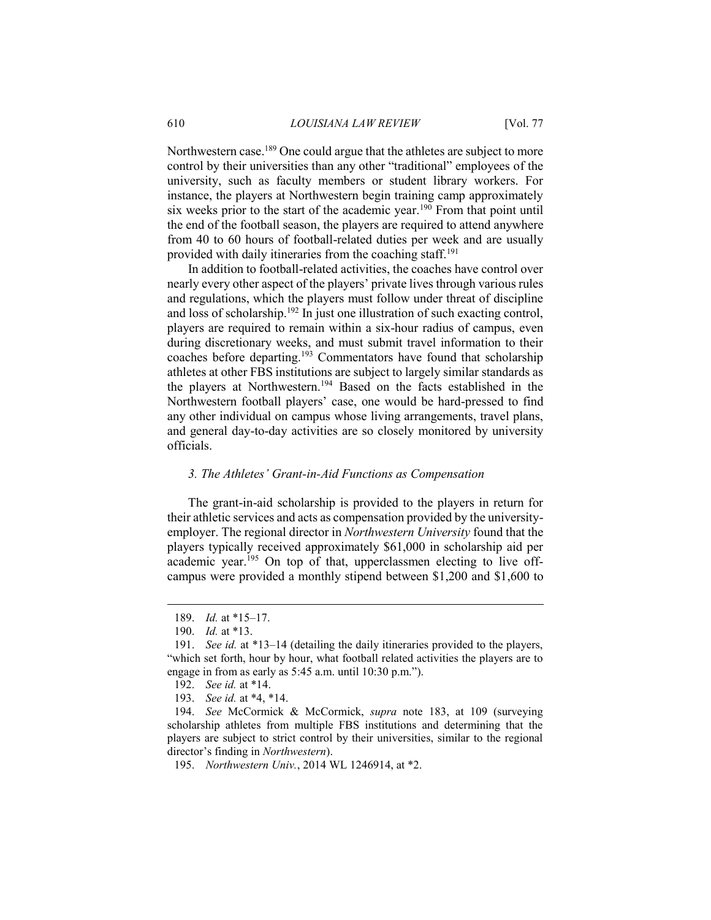Northwestern case.<sup>189</sup> One could argue that the athletes are subject to more control by their universities than any other "traditional" employees of the university, such as faculty members or student library workers. For instance, the players at Northwestern begin training camp approximately six weeks prior to the start of the academic year.<sup>190</sup> From that point until the end of the football season, the players are required to attend anywhere from 40 to 60 hours of football-related duties per week and are usually provided with daily itineraries from the coaching staff.<sup>191</sup>

In addition to football-related activities, the coaches have control over nearly every other aspect of the players' private lives through various rules and regulations, which the players must follow under threat of discipline and loss of scholarship.<sup>192</sup> In just one illustration of such exacting control, players are required to remain within a six-hour radius of campus, even during discretionary weeks, and must submit travel information to their coaches before departing.<sup>193</sup> Commentators have found that scholarship athletes at other FBS institutions are subject to largely similar standards as the players at Northwestern.<sup>194</sup> Based on the facts established in the Northwestern football players' case, one would be hard-pressed to find any other individual on campus whose living arrangements, travel plans, and general day-to-day activities are so closely monitored by university officials.

#### *3. The Athletes' Grant-in-Aid Functions as Compensation*

The grant-in-aid scholarship is provided to the players in return for their athletic services and acts as compensation provided by the universityemployer. The regional director in *Northwestern University* found that the players typically received approximately \$61,000 in scholarship aid per academic year.<sup>195</sup> On top of that, upperclassmen electing to live offcampus were provided a monthly stipend between \$1,200 and \$1,600 to

 $\overline{a}$ 

- 192. *See id.* at \*14.
- 193. *See id.* at \*4, \*14.

194. *See* McCormick & McCormick, *supra* note 183, at 109 (surveying scholarship athletes from multiple FBS institutions and determining that the players are subject to strict control by their universities, similar to the regional director's finding in *Northwestern*).

195. *Northwestern Univ.*, 2014 WL 1246914, at \*2.

<sup>189.</sup> *Id.* at \*15–17.

<sup>190.</sup> *Id.* at \*13.

<sup>191.</sup> *See id.* at \*13–14 (detailing the daily itineraries provided to the players, "which set forth, hour by hour, what football related activities the players are to engage in from as early as 5:45 a.m. until 10:30 p.m.").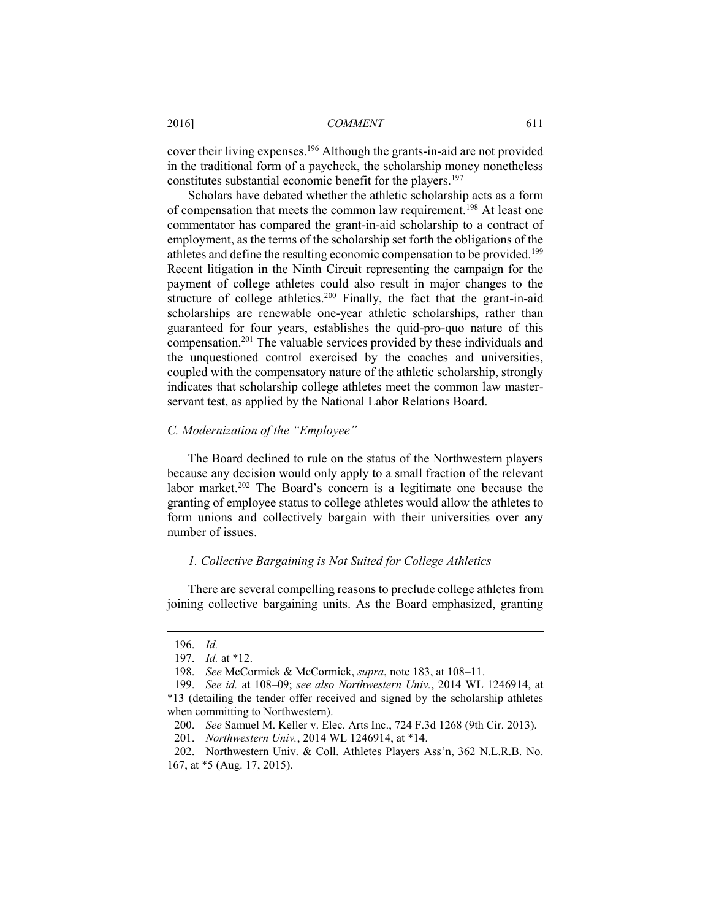cover their living expenses.<sup>196</sup> Although the grants-in-aid are not provided in the traditional form of a paycheck, the scholarship money nonetheless constitutes substantial economic benefit for the players.<sup>197</sup>

Scholars have debated whether the athletic scholarship acts as a form of compensation that meets the common law requirement.<sup>198</sup> At least one commentator has compared the grant-in-aid scholarship to a contract of employment, as the terms of the scholarship set forth the obligations of the athletes and define the resulting economic compensation to be provided.<sup>199</sup> Recent litigation in the Ninth Circuit representing the campaign for the payment of college athletes could also result in major changes to the structure of college athletics.<sup>200</sup> Finally, the fact that the grant-in-aid scholarships are renewable one-year athletic scholarships, rather than guaranteed for four years, establishes the quid-pro-quo nature of this compensation.<sup>201</sup> The valuable services provided by these individuals and the unquestioned control exercised by the coaches and universities, coupled with the compensatory nature of the athletic scholarship, strongly indicates that scholarship college athletes meet the common law masterservant test, as applied by the National Labor Relations Board.

#### *C. Modernization of the "Employee"*

The Board declined to rule on the status of the Northwestern players because any decision would only apply to a small fraction of the relevant labor market.<sup>202</sup> The Board's concern is a legitimate one because the granting of employee status to college athletes would allow the athletes to form unions and collectively bargain with their universities over any number of issues.

# *1. Collective Bargaining is Not Suited for College Athletics*

There are several compelling reasons to preclude college athletes from joining collective bargaining units. As the Board emphasized, granting

<sup>196.</sup> *Id.* 

<sup>197.</sup> *Id.* at \*12.

<sup>198.</sup> *See* McCormick & McCormick, *supra*, note 183, at 108–11.

<sup>199.</sup> *See id.* at 108–09; *see also Northwestern Univ.*, 2014 WL 1246914, at \*13 (detailing the tender offer received and signed by the scholarship athletes when committing to Northwestern).

<sup>200.</sup> *See* Samuel M. Keller v. Elec. Arts Inc., 724 F.3d 1268 (9th Cir. 2013).

<sup>201.</sup> *Northwestern Univ.*, 2014 WL 1246914, at \*14.

<sup>202.</sup> Northwestern Univ. & Coll. Athletes Players Ass'n, 362 N.L.R.B. No. 167, at \*5 (Aug. 17, 2015).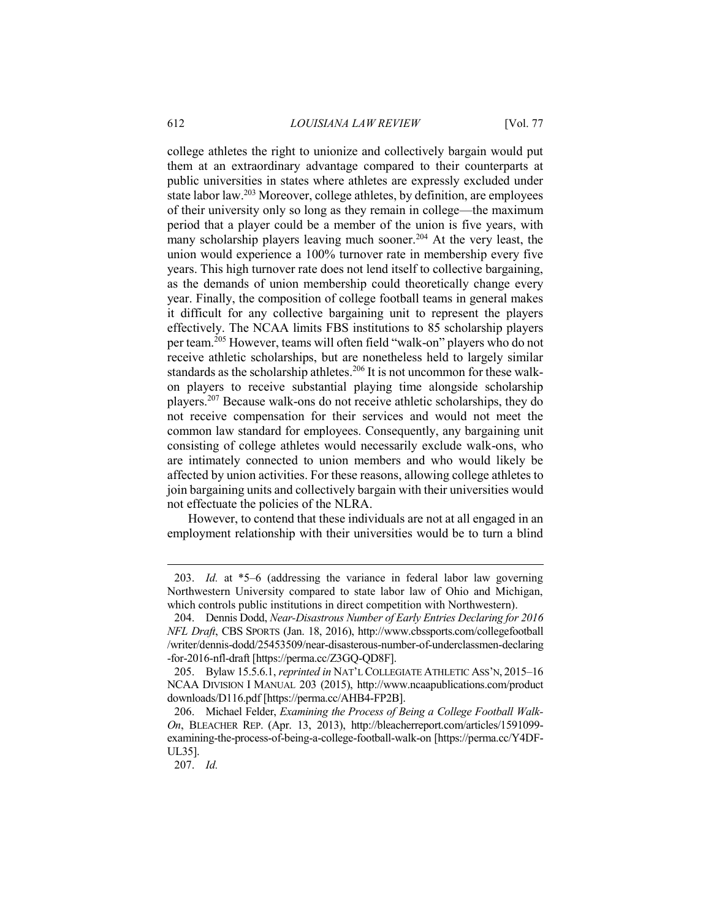college athletes the right to unionize and collectively bargain would put them at an extraordinary advantage compared to their counterparts at public universities in states where athletes are expressly excluded under state labor law.<sup>203</sup> Moreover, college athletes, by definition, are employees of their university only so long as they remain in college—the maximum period that a player could be a member of the union is five years, with many scholarship players leaving much sooner.<sup>204</sup> At the very least, the union would experience a 100% turnover rate in membership every five years. This high turnover rate does not lend itself to collective bargaining, as the demands of union membership could theoretically change every year. Finally, the composition of college football teams in general makes it difficult for any collective bargaining unit to represent the players effectively. The NCAA limits FBS institutions to 85 scholarship players per team.<sup>205</sup> However, teams will often field "walk-on" players who do not receive athletic scholarships, but are nonetheless held to largely similar standards as the scholarship athletes.<sup>206</sup> It is not uncommon for these walkon players to receive substantial playing time alongside scholarship players.<sup>207</sup> Because walk-ons do not receive athletic scholarships, they do not receive compensation for their services and would not meet the common law standard for employees. Consequently, any bargaining unit consisting of college athletes would necessarily exclude walk-ons, who are intimately connected to union members and who would likely be affected by union activities. For these reasons, allowing college athletes to join bargaining units and collectively bargain with their universities would not effectuate the policies of the NLRA.

However, to contend that these individuals are not at all engaged in an employment relationship with their universities would be to turn a blind

207. *Id.*

<sup>203.</sup> *Id.* at \*5–6 (addressing the variance in federal labor law governing Northwestern University compared to state labor law of Ohio and Michigan, which controls public institutions in direct competition with Northwestern).

<sup>204.</sup> Dennis Dodd, *Near-Disastrous Number of Early Entries Declaring for 2016 NFL Draft*, CBS SPORTS (Jan. 18, 2016), http://www.cbssports.com/collegefootball /writer/dennis-dodd/25453509/near-disasterous-number-of-underclassmen-declaring -for-2016-nfl-draft [https://perma.cc/Z3GQ-QD8F].

<sup>205.</sup> Bylaw 15.5.6.1, *reprinted in* NAT'L COLLEGIATE ATHLETIC ASS'N, 2015–16 NCAA DIVISION I MANUAL 203 (2015), http://www.ncaapublications.com/product downloads/D116.pdf [https://perma.cc/AHB4-FP2B].

<sup>206.</sup> Michael Felder, *Examining the Process of Being a College Football Walk-On*, BLEACHER REP. (Apr. 13, 2013), http://bleacherreport.com/articles/1591099 examining-the-process-of-being-a-college-football-walk-on [https://perma.cc/Y4DF-UL35].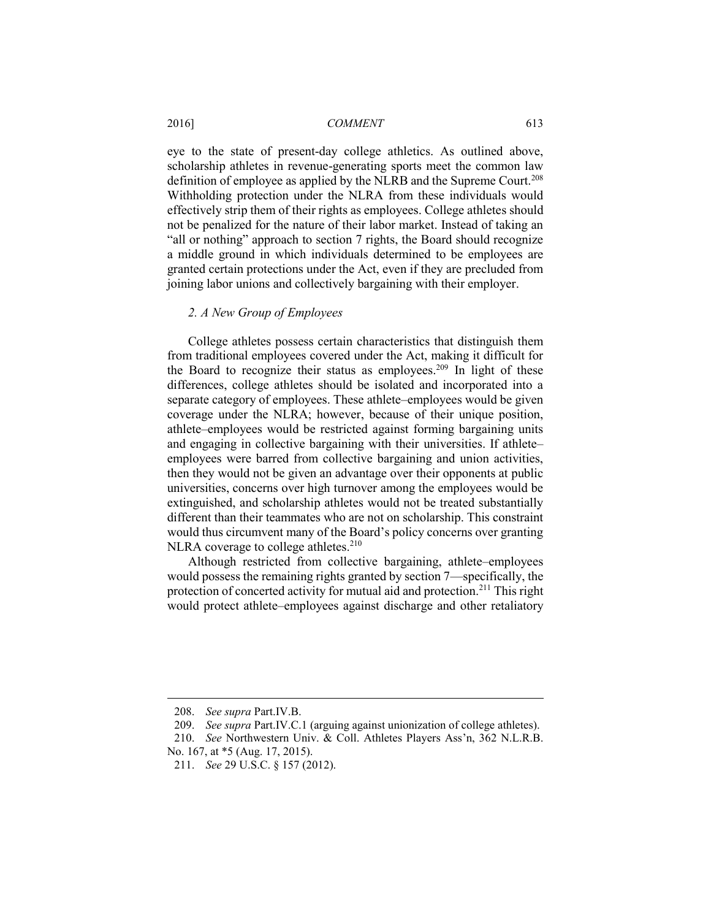eye to the state of present-day college athletics. As outlined above, scholarship athletes in revenue-generating sports meet the common law definition of employee as applied by the NLRB and the Supreme Court.<sup>208</sup> Withholding protection under the NLRA from these individuals would effectively strip them of their rights as employees. College athletes should not be penalized for the nature of their labor market. Instead of taking an "all or nothing" approach to section 7 rights, the Board should recognize a middle ground in which individuals determined to be employees are granted certain protections under the Act, even if they are precluded from joining labor unions and collectively bargaining with their employer.

#### *2. A New Group of Employees*

College athletes possess certain characteristics that distinguish them from traditional employees covered under the Act, making it difficult for the Board to recognize their status as employees.<sup>209</sup> In light of these differences, college athletes should be isolated and incorporated into a separate category of employees. These athlete–employees would be given coverage under the NLRA; however, because of their unique position, athlete–employees would be restricted against forming bargaining units and engaging in collective bargaining with their universities. If athlete– employees were barred from collective bargaining and union activities, then they would not be given an advantage over their opponents at public universities, concerns over high turnover among the employees would be extinguished, and scholarship athletes would not be treated substantially different than their teammates who are not on scholarship. This constraint would thus circumvent many of the Board's policy concerns over granting NLRA coverage to college athletes. $210$ 

Although restricted from collective bargaining, athlete–employees would possess the remaining rights granted by section 7—specifically, the protection of concerted activity for mutual aid and protection.<sup>211</sup> This right would protect athlete–employees against discharge and other retaliatory

<sup>208.</sup> *See supra* Part.IV.B.

<sup>209.</sup> *See supra* Part.IV.C.1 (arguing against unionization of college athletes).

<sup>210.</sup> *See* Northwestern Univ. & Coll. Athletes Players Ass'n, 362 N.L.R.B. No. 167, at \*5 (Aug. 17, 2015).

<sup>211.</sup> *See* 29 U.S.C. § 157 (2012).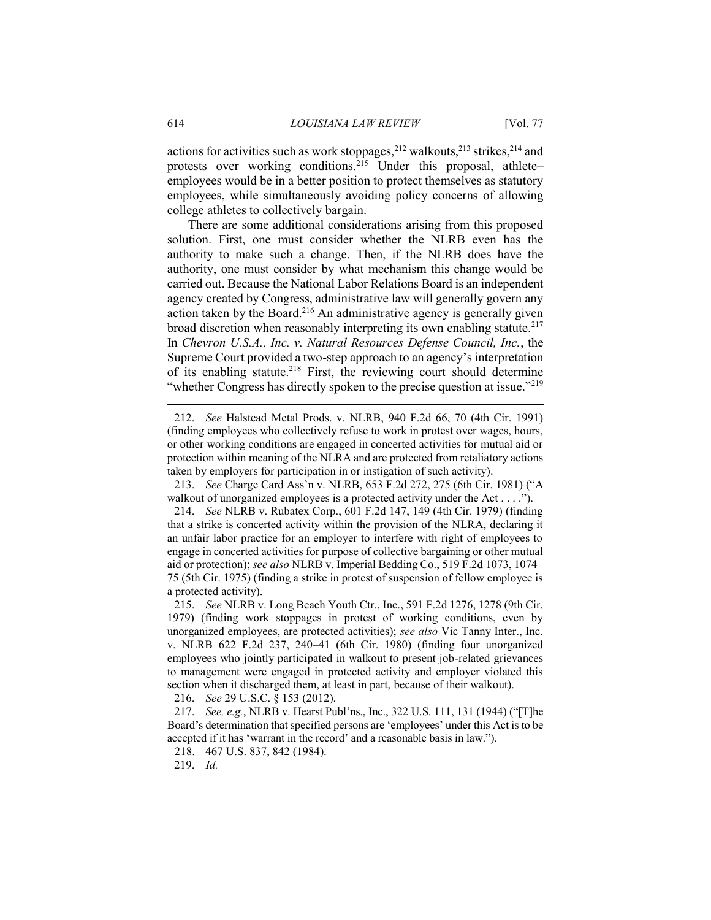actions for activities such as work stoppages, $212$  walkouts, $213$  strikes, $214$  and protests over working conditions.<sup>215</sup> Under this proposal, athlete– employees would be in a better position to protect themselves as statutory employees, while simultaneously avoiding policy concerns of allowing college athletes to collectively bargain.

There are some additional considerations arising from this proposed solution. First, one must consider whether the NLRB even has the authority to make such a change. Then, if the NLRB does have the authority, one must consider by what mechanism this change would be carried out. Because the National Labor Relations Board is an independent agency created by Congress, administrative law will generally govern any action taken by the Board.<sup>216</sup> An administrative agency is generally given broad discretion when reasonably interpreting its own enabling statute.<sup>217</sup> In *Chevron U.S.A., Inc. v. Natural Resources Defense Council, Inc.*, the Supreme Court provided a two-step approach to an agency's interpretation of its enabling statute.<sup>218</sup> First, the reviewing court should determine "whether Congress has directly spoken to the precise question at issue."<sup>219</sup>

213. *See* Charge Card Ass'n v. NLRB, 653 F.2d 272, 275 (6th Cir. 1981) ("A walkout of unorganized employees is a protected activity under the Act . . . .").

214. *See* NLRB v. Rubatex Corp., 601 F.2d 147, 149 (4th Cir. 1979) (finding that a strike is concerted activity within the provision of the NLRA, declaring it an unfair labor practice for an employer to interfere with right of employees to engage in concerted activities for purpose of collective bargaining or other mutual aid or protection); *see also* NLRB v. Imperial Bedding Co., 519 F.2d 1073, 1074– 75 (5th Cir. 1975) (finding a strike in protest of suspension of fellow employee is a protected activity).

215. *See* NLRB v. Long Beach Youth Ctr., Inc., 591 F.2d 1276, 1278 (9th Cir. 1979) (finding work stoppages in protest of working conditions, even by unorganized employees, are protected activities); *see also* Vic Tanny Inter., Inc. v. NLRB 622 F.2d 237, 240–41 (6th Cir. 1980) (finding four unorganized employees who jointly participated in walkout to present job-related grievances to management were engaged in protected activity and employer violated this section when it discharged them, at least in part, because of their walkout).

216. *See* 29 U.S.C. § 153 (2012).

217. *See, e.g.*, NLRB v. Hearst Publ'ns., Inc., 322 U.S. 111, 131 (1944) ("[T]he Board's determination that specified persons are 'employees' under this Act is to be accepted if it has 'warrant in the record' and a reasonable basis in law.").

218. 467 U.S. 837, 842 (1984).

219. *Id.*

<sup>212.</sup> *See* Halstead Metal Prods. v. NLRB, 940 F.2d 66, 70 (4th Cir. 1991) (finding employees who collectively refuse to work in protest over wages, hours, or other working conditions are engaged in concerted activities for mutual aid or protection within meaning of the NLRA and are protected from retaliatory actions taken by employers for participation in or instigation of such activity).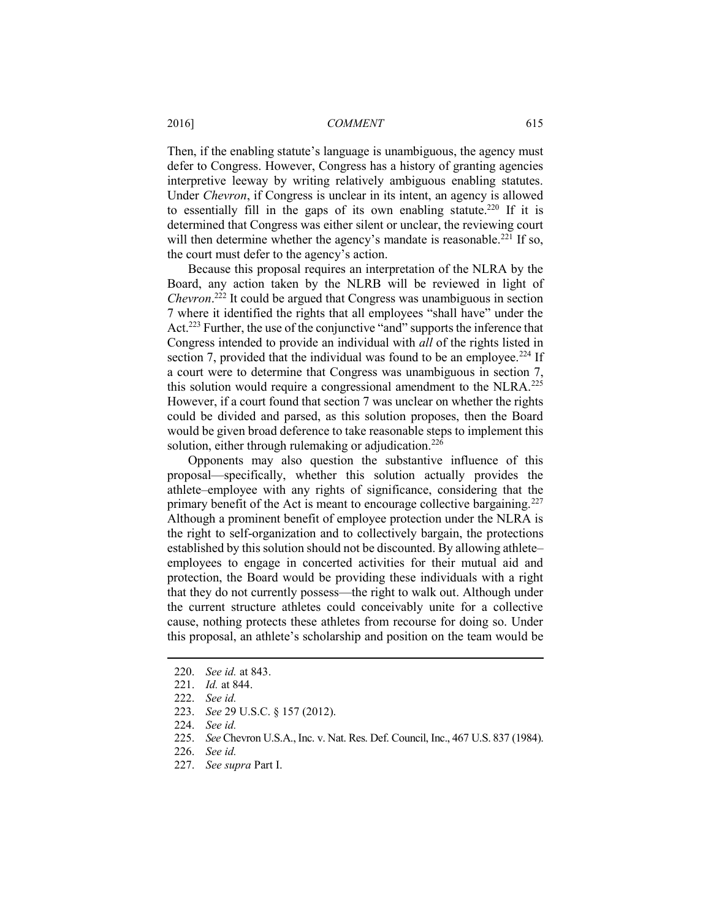Then, if the enabling statute's language is unambiguous, the agency must defer to Congress. However, Congress has a history of granting agencies interpretive leeway by writing relatively ambiguous enabling statutes. Under *Chevron*, if Congress is unclear in its intent, an agency is allowed to essentially fill in the gaps of its own enabling statute.<sup>220</sup> If it is determined that Congress was either silent or unclear, the reviewing court will then determine whether the agency's mandate is reasonable.<sup>221</sup> If so, the court must defer to the agency's action.

Because this proposal requires an interpretation of the NLRA by the Board, any action taken by the NLRB will be reviewed in light of *Chevron*. <sup>222</sup> It could be argued that Congress was unambiguous in section 7 where it identified the rights that all employees "shall have" under the Act.<sup>223</sup> Further, the use of the conjunctive "and" supports the inference that Congress intended to provide an individual with *all* of the rights listed in section 7, provided that the individual was found to be an employee.<sup>224</sup> If a court were to determine that Congress was unambiguous in section 7, this solution would require a congressional amendment to the NLRA.<sup>225</sup> However, if a court found that section 7 was unclear on whether the rights could be divided and parsed, as this solution proposes, then the Board would be given broad deference to take reasonable steps to implement this solution, either through rulemaking or adjudication.<sup>226</sup>

Opponents may also question the substantive influence of this proposal—specifically, whether this solution actually provides the athlete–employee with any rights of significance, considering that the primary benefit of the Act is meant to encourage collective bargaining.<sup>227</sup> Although a prominent benefit of employee protection under the NLRA is the right to self-organization and to collectively bargain, the protections established by this solution should not be discounted. By allowing athlete– employees to engage in concerted activities for their mutual aid and protection, the Board would be providing these individuals with a right that they do not currently possess—the right to walk out. Although under the current structure athletes could conceivably unite for a collective cause, nothing protects these athletes from recourse for doing so. Under this proposal, an athlete's scholarship and position on the team would be

 $\overline{a}$ 

223. *See* 29 U.S.C. § 157 (2012).

225. *See* Chevron U.S.A., Inc. v. Nat. Res. Def. Council, Inc., 467 U.S. 837 (1984).

227. *See supra* Part I.

<sup>220.</sup> *See id.* at 843.

<sup>221.</sup> *Id.* at 844.

<sup>222.</sup> *See id.*

<sup>224.</sup> *See id.*

<sup>226.</sup> *See id.*